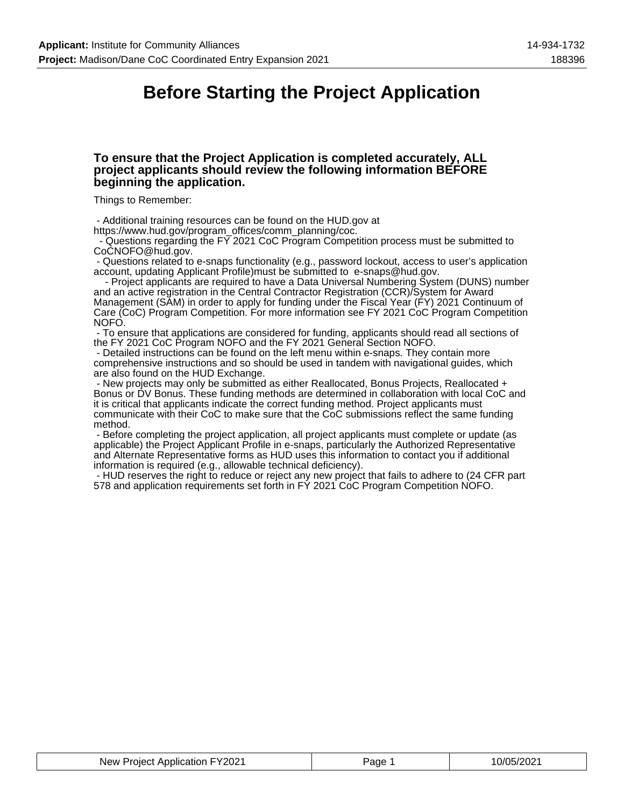### **Before Starting the Project Application**

#### **To ensure that the Project Application is completed accurately, ALL project applicants should review the following information BEFORE beginning the application.**

Things to Remember:

- Additional training resources can be found on the HUD.gov at

https://www.hud.gov/program\_offices/comm\_planning/coc.

 - Questions regarding the FY 2021 CoC Program Competition process must be submitted to CoCNOFO@hud.gov.

 - Questions related to e-snaps functionality (e.g., password lockout, access to user's application account, updating Applicant Profile)must be submitted to e-snaps@hud.gov.

 - Project applicants are required to have a Data Universal Numbering System (DUNS) number and an active registration in the Central Contractor Registration (CCR)/System for Award Management (SAM) in order to apply for funding under the Fiscal Year (FY) 2021 Continuum of Care (CoC) Program Competition. For more information see FY 2021 CoC Program Competition NOFO.

 - To ensure that applications are considered for funding, applicants should read all sections of the FY 2021 CoC Program NOFO and the FY 2021 General Section NOFO.

 - Detailed instructions can be found on the left menu within e-snaps. They contain more comprehensive instructions and so should be used in tandem with navigational guides, which are also found on the HUD Exchange.

 - New projects may only be submitted as either Reallocated, Bonus Projects, Reallocated + Bonus or DV Bonus. These funding methods are determined in collaboration with local CoC and it is critical that applicants indicate the correct funding method. Project applicants must communicate with their CoC to make sure that the CoC submissions reflect the same funding method.

 - Before completing the project application, all project applicants must complete or update (as applicable) the Project Applicant Profile in e-snaps, particularly the Authorized Representative and Alternate Representative forms as HUD uses this information to contact you if additional information is required (e.g., allowable technical deficiency).

 - HUD reserves the right to reduce or reject any new project that fails to adhere to (24 CFR part 578 and application requirements set forth in FY 2021 CoC Program Competition NOFO.

| ⊑Y2021 <sup>−</sup><br><b>New</b><br>Application<br>Proiect. | ∙aαe | ,,,,, |
|--------------------------------------------------------------|------|-------|
|--------------------------------------------------------------|------|-------|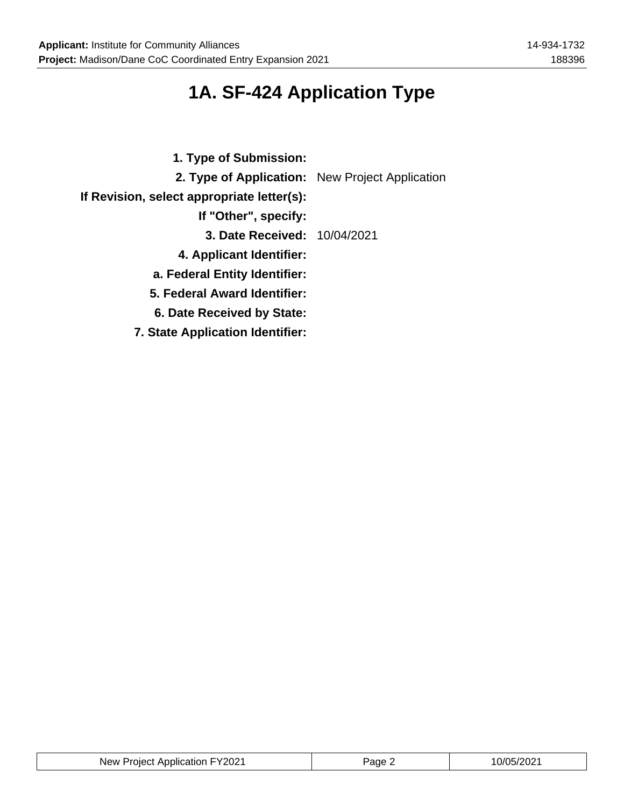# **1A. SF-424 Application Type**

| 1. Type of Submission:                          |  |
|-------------------------------------------------|--|
| 2. Type of Application: New Project Application |  |
| If Revision, select appropriate letter(s):      |  |
| If "Other", specify:                            |  |
| <b>3. Date Received: 10/04/2021</b>             |  |
| 4. Applicant Identifier:                        |  |
| a. Federal Entity Identifier:                   |  |
| 5. Federal Award Identifier:                    |  |
| 6. Date Received by State:                      |  |
| <b>7. State Application Identifier:</b>         |  |

| New Project Application FY2021 | Page 2 | 10/05/2021 |
|--------------------------------|--------|------------|
|--------------------------------|--------|------------|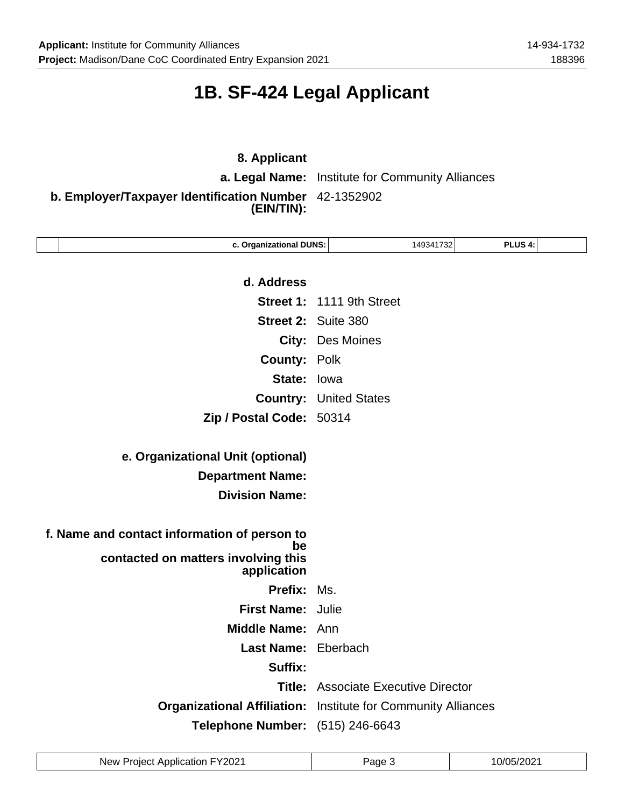### **1B. SF-424 Legal Applicant**

### **8. Applicant**

**a. Legal Name:** Institute for Community Alliances

**b. Employer/Taxpayer Identification Number** 42-1352902 **(EIN/TIN):**

| c. Organizational DUNS:                                              | 149341732                                  | PLUS 4: |  |
|----------------------------------------------------------------------|--------------------------------------------|---------|--|
|                                                                      |                                            |         |  |
| d. Address                                                           |                                            |         |  |
|                                                                      | Street 1: 1111 9th Street                  |         |  |
|                                                                      | <b>Street 2: Suite 380</b>                 |         |  |
|                                                                      | <b>City: Des Moines</b>                    |         |  |
| <b>County: Polk</b>                                                  |                                            |         |  |
| State: lowa                                                          |                                            |         |  |
|                                                                      | <b>Country: United States</b>              |         |  |
| Zip / Postal Code: 50314                                             |                                            |         |  |
|                                                                      |                                            |         |  |
| e. Organizational Unit (optional)                                    |                                            |         |  |
| <b>Department Name:</b>                                              |                                            |         |  |
| <b>Division Name:</b>                                                |                                            |         |  |
|                                                                      |                                            |         |  |
| f. Name and contact information of person to<br>be                   |                                            |         |  |
| contacted on matters involving this<br>application                   |                                            |         |  |
| Prefix: Ms.                                                          |                                            |         |  |
| <b>First Name: Julie</b>                                             |                                            |         |  |
| Middle Name: Ann                                                     |                                            |         |  |
| Last Name: Eberbach                                                  |                                            |         |  |
| Suffix:                                                              |                                            |         |  |
|                                                                      | <b>Title:</b> Associate Executive Director |         |  |
| <b>Organizational Affiliation:</b> Institute for Community Alliances |                                            |         |  |
| Telephone Number: (515) 246-6643                                     |                                            |         |  |
|                                                                      |                                            |         |  |

| New Project Application FY2021 | Page 3 | 10/05/2021 |
|--------------------------------|--------|------------|
|--------------------------------|--------|------------|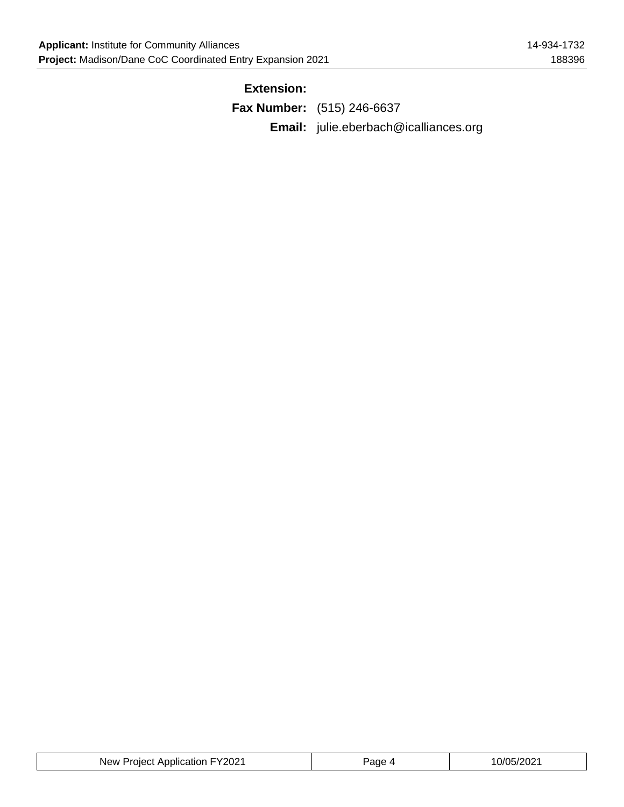### **Extension:**

| <b>Fax Number:</b> (515) 246-6637            |
|----------------------------------------------|
| <b>Email:</b> julie.eberbach@icalliances.org |

| New Project Application FY2021 | Page 4 | 10/05/2021 |
|--------------------------------|--------|------------|
|--------------------------------|--------|------------|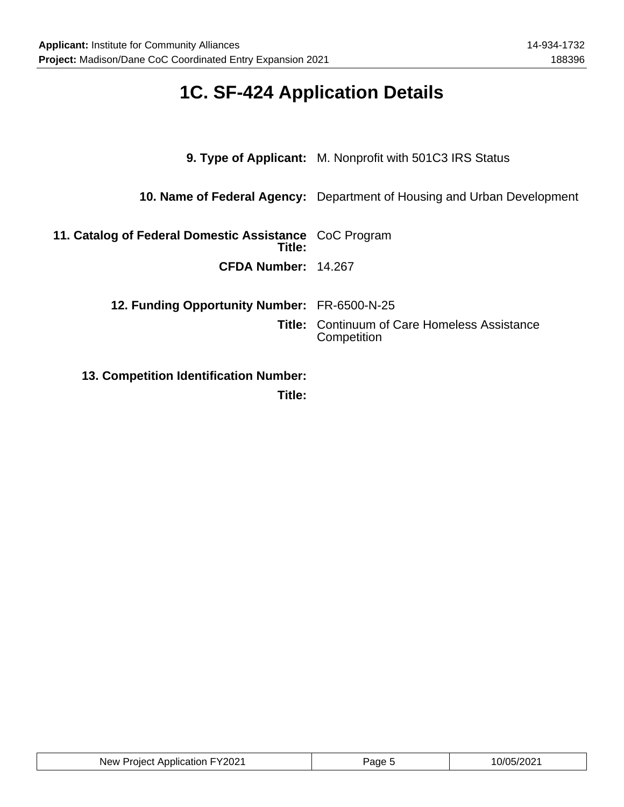٦

# **1C. SF-424 Application Details**

|                                                                  | <b>9. Type of Applicant:</b> M. Nonprofit with 501C3 IRS Status         |
|------------------------------------------------------------------|-------------------------------------------------------------------------|
|                                                                  | 10. Name of Federal Agency: Department of Housing and Urban Development |
| 11. Catalog of Federal Domestic Assistance CoC Program<br>Title: |                                                                         |
| CFDA Number: 14.267                                              |                                                                         |
| 12. Funding Opportunity Number: FR-6500-N-25                     |                                                                         |
|                                                                  | <b>Title: Continuum of Care Homeless Assistance</b><br>Competition      |
| <b>13. Competition Identification Number:</b>                    |                                                                         |

**Title:**

| <sup>-</sup> Y2021<br>New<br>'roiect<br>.<br>: Application<br>age | 202، |
|-------------------------------------------------------------------|------|
|-------------------------------------------------------------------|------|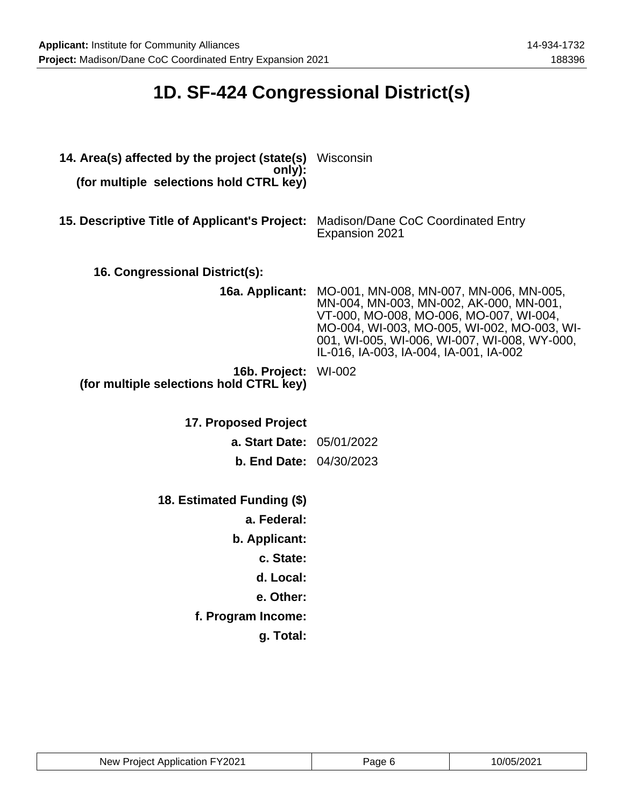# **1D. SF-424 Congressional District(s)**

| 14. Area(s) affected by the project (state(s) Wisconsin<br>only):<br>(for multiple selections hold CTRL key) |                                                                                                                                                                                                                                                                        |
|--------------------------------------------------------------------------------------------------------------|------------------------------------------------------------------------------------------------------------------------------------------------------------------------------------------------------------------------------------------------------------------------|
| 15. Descriptive Title of Applicant's Project: Madison/Dane CoC Coordinated Entry                             | Expansion 2021                                                                                                                                                                                                                                                         |
| 16. Congressional District(s):                                                                               |                                                                                                                                                                                                                                                                        |
| 16a. Applicant:                                                                                              | MO-001, MN-008, MN-007, MN-006, MN-005,<br>MN-004, MN-003, MN-002, AK-000, MN-001,<br>VT-000, MO-008, MO-006, MO-007, WI-004,<br>MO-004, WI-003, MO-005, WI-002, MO-003, WI-<br>001, WI-005, WI-006, WI-007, WI-008, WY-000,<br>IL-016, IA-003, IA-004, IA-001, IA-002 |
| 16b. Project:<br>(for multiple selections hold CTRL key)                                                     | WI-002                                                                                                                                                                                                                                                                 |
| 17. Proposed Project                                                                                         |                                                                                                                                                                                                                                                                        |
| a. Start Date: 05/01/2022                                                                                    |                                                                                                                                                                                                                                                                        |
| <b>b. End Date: 04/30/2023</b>                                                                               |                                                                                                                                                                                                                                                                        |
| 18. Estimated Funding (\$)                                                                                   |                                                                                                                                                                                                                                                                        |
| a. Federal:                                                                                                  |                                                                                                                                                                                                                                                                        |
| b. Applicant:                                                                                                |                                                                                                                                                                                                                                                                        |
| c. State:                                                                                                    |                                                                                                                                                                                                                                                                        |
| d. Local:                                                                                                    |                                                                                                                                                                                                                                                                        |
| e. Other:                                                                                                    |                                                                                                                                                                                                                                                                        |
| f. Program Income:                                                                                           |                                                                                                                                                                                                                                                                        |
| g. Total:                                                                                                    |                                                                                                                                                                                                                                                                        |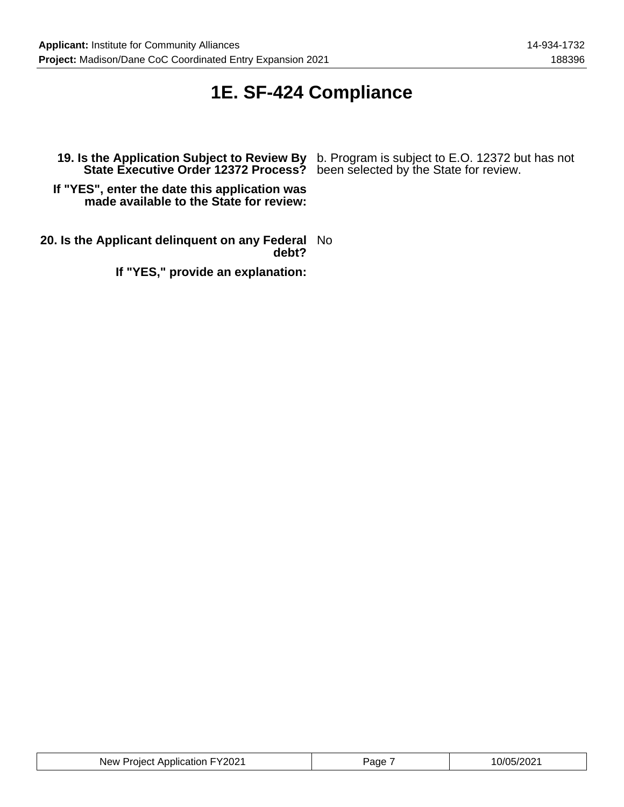### **1E. SF-424 Compliance**

**State Executive Order 12372 Process?** been selected by the State for review.

**If "YES", enter the date this application was made available to the State for review:**

**20. Is the Applicant delinquent on any Federal** No **debt?**

**If "YES," provide an explanation:**

**19. Is the Application Subject to Review By** b. Program is subject to E.O. 12372 but has not

| New Project Application FY2021 | Page | 10/05/2021 |
|--------------------------------|------|------------|
|--------------------------------|------|------------|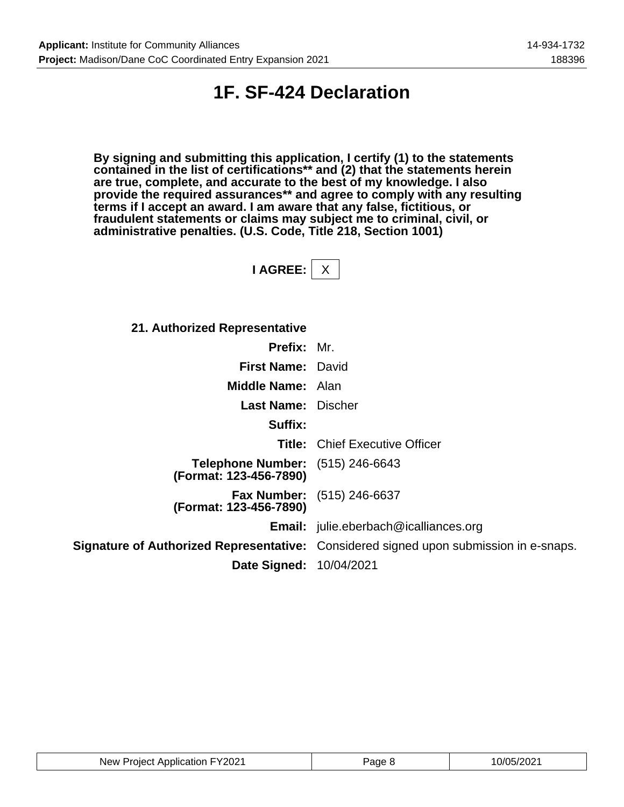### **1F. SF-424 Declaration**

**By signing and submitting this application, I certify (1) to the statements contained in the list of certifications\*\* and (2) that the statements herein are true, complete, and accurate to the best of my knowledge. I also provide the required assurances\*\* and agree to comply with any resulting terms if I accept an award. I am aware that any false, fictitious, or fraudulent statements or claims may subject me to criminal, civil, or administrative penalties. (U.S. Code, Title 218, Section 1001)**

**I AGREE:** X

**21. Authorized Representative**

| Prefix: Mr.                                                       |                                                                                       |
|-------------------------------------------------------------------|---------------------------------------------------------------------------------------|
| <b>First Name: David</b>                                          |                                                                                       |
| <b>Middle Name: Alan</b>                                          |                                                                                       |
| <b>Last Name: Discher</b>                                         |                                                                                       |
| Suffix:                                                           |                                                                                       |
|                                                                   | <b>Title:</b> Chief Executive Officer                                                 |
| <b>Telephone Number:</b> (515) 246-6643<br>(Format: 123-456-7890) |                                                                                       |
| (Format: 123-456-7890)                                            | <b>Fax Number:</b> (515) 246-6637                                                     |
|                                                                   | <b>Email:</b> julie.eberbach@icalliances.org                                          |
|                                                                   | Signature of Authorized Representative: Considered signed upon submission in e-snaps. |
| <b>Date Signed: 10/04/2021</b>                                    |                                                                                       |

| New Project Application FY2021 | Page | 10/05/2021 |
|--------------------------------|------|------------|
|--------------------------------|------|------------|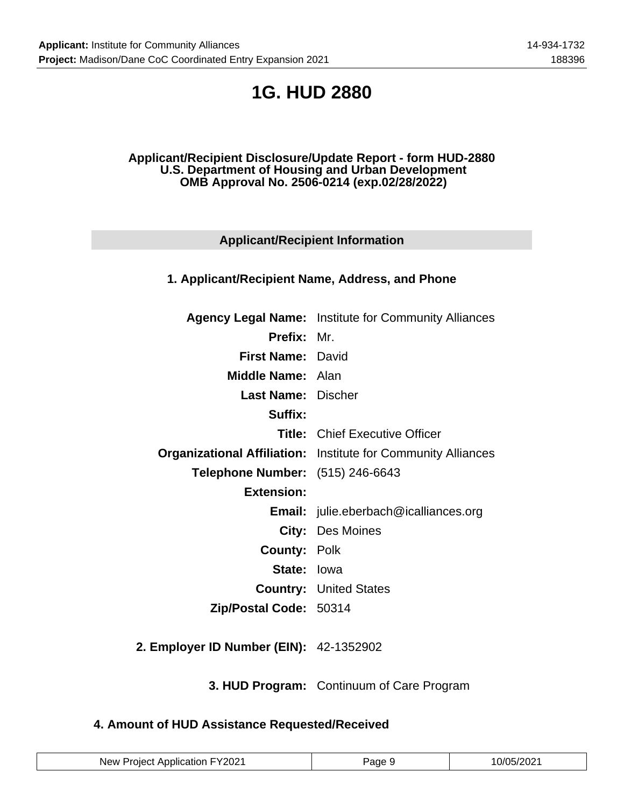### **1G. HUD 2880**

#### **Applicant/Recipient Disclosure/Update Report - form HUD-2880 U.S. Department of Housing and Urban Development OMB Approval No. 2506-0214 (exp.02/28/2022)**

### **Applicant/Recipient Information**

### **1. Applicant/Recipient Name, Address, and Phone**

|                               | <b>Agency Legal Name:</b> Institute for Community Alliances          |  |
|-------------------------------|----------------------------------------------------------------------|--|
| <b>Prefix: Mr.</b>            |                                                                      |  |
| <b>First Name: David</b>      |                                                                      |  |
| <b>Middle Name: Alan</b>      |                                                                      |  |
| <b>Last Name: Discher</b>     |                                                                      |  |
| Suffix:                       |                                                                      |  |
|                               | <b>Title:</b> Chief Executive Officer                                |  |
|                               | <b>Organizational Affiliation:</b> Institute for Community Alliances |  |
|                               | <b>Telephone Number:</b> (515) 246-6643                              |  |
| <b>Extension:</b>             |                                                                      |  |
|                               | <b>Email:</b> julie.eberbach@icalliances.org                         |  |
|                               | <b>City: Des Moines</b>                                              |  |
| <b>County: Polk</b>           |                                                                      |  |
| <b>State: lowa</b>            |                                                                      |  |
|                               | <b>Country: United States</b>                                        |  |
| <b>Zip/Postal Code: 50314</b> |                                                                      |  |
|                               |                                                                      |  |

**2. Employer ID Number (EIN):** 42-1352902

**3. HUD Program:** Continuum of Care Program

### **4. Amount of HUD Assistance Requested/Received**

| New Project Application FY2021 | Page 9 | 10/05/2021 |
|--------------------------------|--------|------------|
|--------------------------------|--------|------------|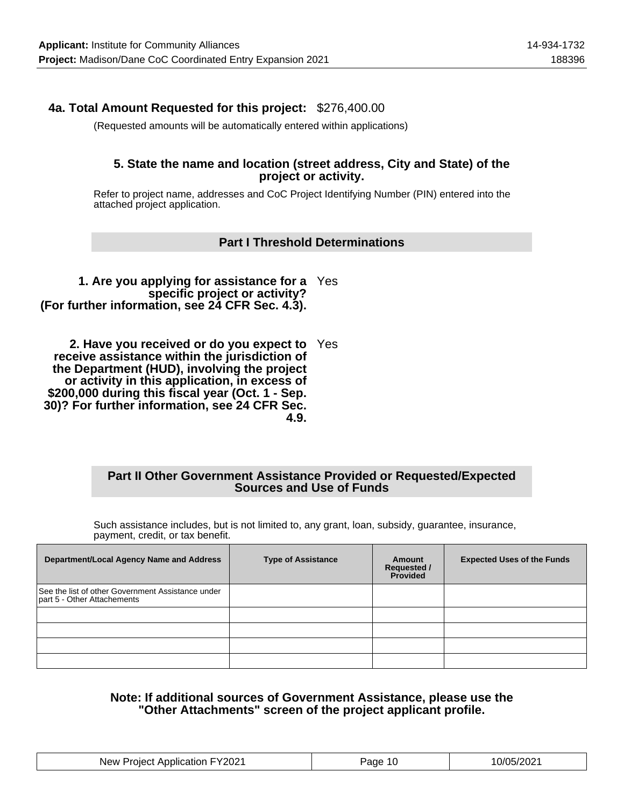### **4a. Total Amount Requested for this project:** \$276,400.00

(Requested amounts will be automatically entered within applications)

#### **5. State the name and location (street address, City and State) of the project or activity.**

Refer to project name, addresses and CoC Project Identifying Number (PIN) entered into the attached project application.

#### **Part I Threshold Determinations**

**1. Are you applying for assistance for a** Yes **specific project or activity? (For further information, see 24 CFR Sec. 4.3).**

**2. Have you received or do you expect to** Yes **receive assistance within the jurisdiction of the Department (HUD), involving the project or activity in this application, in excess of \$200,000 during this fiscal year (Oct. 1 - Sep. 30)? For further information, see 24 CFR Sec. 4.9.**

#### **Part II Other Government Assistance Provided or Requested/Expected Sources and Use of Funds**

Such assistance includes, but is not limited to, any grant, loan, subsidy, guarantee, insurance, payment, credit, or tax benefit.

| Department/Local Agency Name and Address                                         | <b>Type of Assistance</b> | Amount<br><b>Requested /</b><br>Provided | <b>Expected Uses of the Funds</b> |
|----------------------------------------------------------------------------------|---------------------------|------------------------------------------|-----------------------------------|
| See the list of other Government Assistance under<br>part 5 - Other Attachements |                           |                                          |                                   |
|                                                                                  |                           |                                          |                                   |
|                                                                                  |                           |                                          |                                   |
|                                                                                  |                           |                                          |                                   |
|                                                                                  |                           |                                          |                                   |

#### **Note: If additional sources of Government Assistance, please use the "Other Attachments" screen of the project applicant profile.**

| New Project Application FY2021 | Page<br>-10 | 10/05/2021 |
|--------------------------------|-------------|------------|
|--------------------------------|-------------|------------|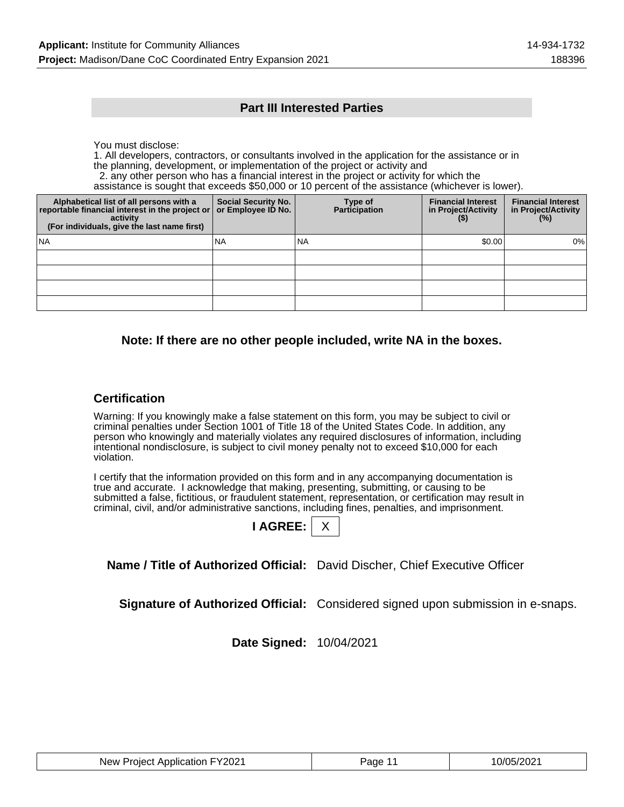### **Part III Interested Parties**

You must disclose:

1. All developers, contractors, or consultants involved in the application for the assistance or in the planning, development, or implementation of the project or activity and

2. any other person who has a financial interest in the project or activity for which the

assistance is sought that exceeds \$50,000 or 10 percent of the assistance (whichever is lower).

| Alphabetical list of all persons with a<br>reportable financial interest in the project or<br>activity<br>(For individuals, give the last name first) | <b>Social Security No.</b><br>or Employee ID No. | Type of<br><b>Participation</b> | <b>Financial Interest</b><br>in Project/Activity<br>$($ \$) | <b>Financial Interest</b><br>in Project/Activity<br>$(\%)$ |
|-------------------------------------------------------------------------------------------------------------------------------------------------------|--------------------------------------------------|---------------------------------|-------------------------------------------------------------|------------------------------------------------------------|
| l NA                                                                                                                                                  | <b>NA</b>                                        | INA                             | \$0.00                                                      | 0%                                                         |
|                                                                                                                                                       |                                                  |                                 |                                                             |                                                            |
|                                                                                                                                                       |                                                  |                                 |                                                             |                                                            |
|                                                                                                                                                       |                                                  |                                 |                                                             |                                                            |
|                                                                                                                                                       |                                                  |                                 |                                                             |                                                            |

#### **Note: If there are no other people included, write NA in the boxes.**

#### **Certification**

Warning: If you knowingly make a false statement on this form, you may be subject to civil or criminal penalties under Section 1001 of Title 18 of the United States Code. In addition, any person who knowingly and materially violates any required disclosures of information, including intentional nondisclosure, is subject to civil money penalty not to exceed \$10,000 for each violation.

I certify that the information provided on this form and in any accompanying documentation is true and accurate. I acknowledge that making, presenting, submitting, or causing to be submitted a false, fictitious, or fraudulent statement, representation, or certification may result in criminal, civil, and/or administrative sanctions, including fines, penalties, and imprisonment.

**Name / Title of Authorized Official:** David Discher, Chief Executive Officer

**Signature of Authorized Official:** Considered signed upon submission in e-snaps.

**Date Signed:** 10/04/2021

| New Project Application FY2021 | Page 11 | 10/05/2021 |
|--------------------------------|---------|------------|
|--------------------------------|---------|------------|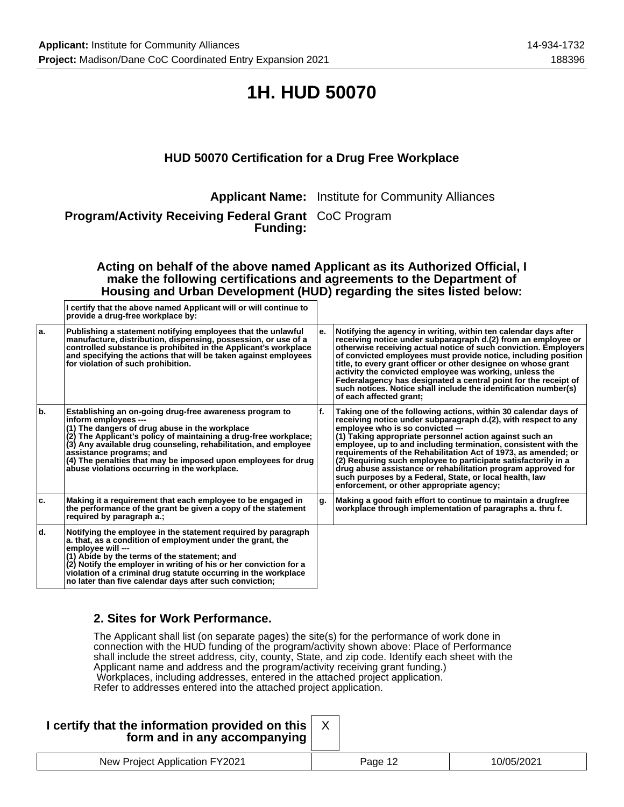### **1H. HUD 50070**

### **HUD 50070 Certification for a Drug Free Workplace**

**Applicant Name:** Institute for Community Alliances

**Program/Activity Receiving Federal Grant** CoC Program **Funding:**

**Acting on behalf of the above named Applicant as its Authorized Official, I make the following certifications and agreements to the Department of Housing and Urban Development (HUD) regarding the sites listed below:**

|     | I certify that the above named Applicant will or will continue to<br>provide a drug-free workplace by:                                                                                                                                                                                                                                                                                                                |    |                                                                                                                                                                                                                                                                                                                                                                                                                                                                                                                                                                                                                |
|-----|-----------------------------------------------------------------------------------------------------------------------------------------------------------------------------------------------------------------------------------------------------------------------------------------------------------------------------------------------------------------------------------------------------------------------|----|----------------------------------------------------------------------------------------------------------------------------------------------------------------------------------------------------------------------------------------------------------------------------------------------------------------------------------------------------------------------------------------------------------------------------------------------------------------------------------------------------------------------------------------------------------------------------------------------------------------|
| ۱a. | Publishing a statement notifying employees that the unlawful<br>manufacture, distribution, dispensing, possession, or use of a<br>controlled substance is prohibited in the Applicant's workplace<br>and specifying the actions that will be taken against employees<br>for violation of such prohibition.                                                                                                            | е. | Notifying the agency in writing, within ten calendar days after<br>receiving notice under subparagraph d.(2) from an employee or<br>otherwise receiving actual notice of such conviction. Employers<br>of convicted employees must provide notice, including position<br>title, to every grant officer or other designee on whose grant<br>activity the convicted employee was working, unless the<br>Federalagency has designated a central point for the receipt of<br>such notices. Notice shall include the identification number(s)<br>of each affected grant;                                            |
| b.  | Establishing an on-going drug-free awareness program to<br>inform employees ---<br>(1) The dangers of drug abuse in the workplace<br>(2) The Applicant's policy of maintaining a drug-free workplace;<br>(3) Any available drug counseling, rehabilitation, and employee<br>assistance programs; and<br>(4) The penalties that may be imposed upon employees for drug<br>abuse violations occurring in the workplace. | f. | Taking one of the following actions, within 30 calendar days of<br>receiving notice under subparagraph d.(2), with respect to any<br>emplovee who is so convicted ---<br>(1) Taking appropriate personnel action against such an<br>employee, up to and including termination, consistent with the<br>requirements of the Rehabilitation Act of 1973, as amended; or<br>(2) Requiring such employee to participate satisfactorily in a<br>drug abuse assistance or rehabilitation program approved for<br>such purposes by a Federal, State, or local health, law<br>enforcement, or other appropriate agency; |
| c.  | Making it a requirement that each employee to be engaged in<br>the performance of the grant be given a copy of the statement<br>required by paragraph a.;                                                                                                                                                                                                                                                             | q. | Making a good faith effort to continue to maintain a drugfree<br>workplace through implementation of paragraphs a. thru f.                                                                                                                                                                                                                                                                                                                                                                                                                                                                                     |
| ld. | Notifying the employee in the statement required by paragraph<br>a. that, as a condition of employment under the grant, the<br>employee will ---<br>(1) Abide by the terms of the statement; and<br>(2) Notify the employer in writing of his or her conviction for a<br>violation of a criminal drug statute occurring in the workplace<br>no later than five calendar days after such conviction;                   |    |                                                                                                                                                                                                                                                                                                                                                                                                                                                                                                                                                                                                                |

### **2. Sites for Work Performance.**

The Applicant shall list (on separate pages) the site(s) for the performance of work done in connection with the HUD funding of the program/activity shown above: Place of Performance shall include the street address, city, county, State, and zip code. Identify each sheet with the Applicant name and address and the program/activity receiving grant funding.) Workplaces, including addresses, entered in the attached project application. Refer to addresses entered into the attached project application.

| I certify that the information provided on this<br>form and in any accompanying I |         |            |
|-----------------------------------------------------------------------------------|---------|------------|
| New Project Application FY2021                                                    | Page 12 | 10/05/2021 |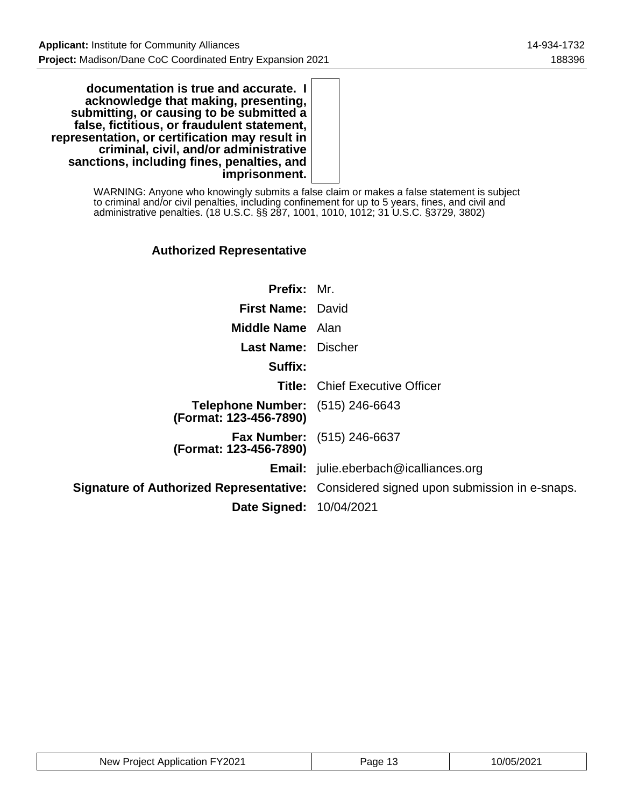**documentation is true and accurate. I acknowledge that making, presenting, submitting, or causing to be submitted a false, fictitious, or fraudulent statement, representation, or certification may result in criminal, civil, and/or administrative sanctions, including fines, penalties, and imprisonment.**

> WARNING: Anyone who knowingly submits a false claim or makes a false statement is subject to criminal and/or civil penalties, including confinement for up to 5 years, fines, and civil and administrative penalties. (18 U.S.C. §§ 287, 1001, 1010, 1012; 31 U.S.C. §3729, 3802)

### **Authorized Representative**

| <b>Prefix: Mr.</b>                                                |                                                                                              |
|-------------------------------------------------------------------|----------------------------------------------------------------------------------------------|
| <b>First Name: David</b>                                          |                                                                                              |
| <b>Middle Name</b> Alan                                           |                                                                                              |
| <b>Last Name: Discher</b>                                         |                                                                                              |
| Suffix:                                                           |                                                                                              |
|                                                                   | <b>Title: Chief Executive Officer</b>                                                        |
| <b>Telephone Number:</b> (515) 246-6643<br>(Format: 123-456-7890) |                                                                                              |
| (Format: 123-456-7890)                                            | <b>Fax Number:</b> (515) 246-6637                                                            |
|                                                                   | <b>Email:</b> julie.eberbach@icalliances.org                                                 |
|                                                                   | <b>Signature of Authorized Representative:</b> Considered signed upon submission in e-snaps. |
| Date Signed: 10/04/2021                                           |                                                                                              |

| New Project Application FY2021 | Page | 10/05/2021 |
|--------------------------------|------|------------|
|--------------------------------|------|------------|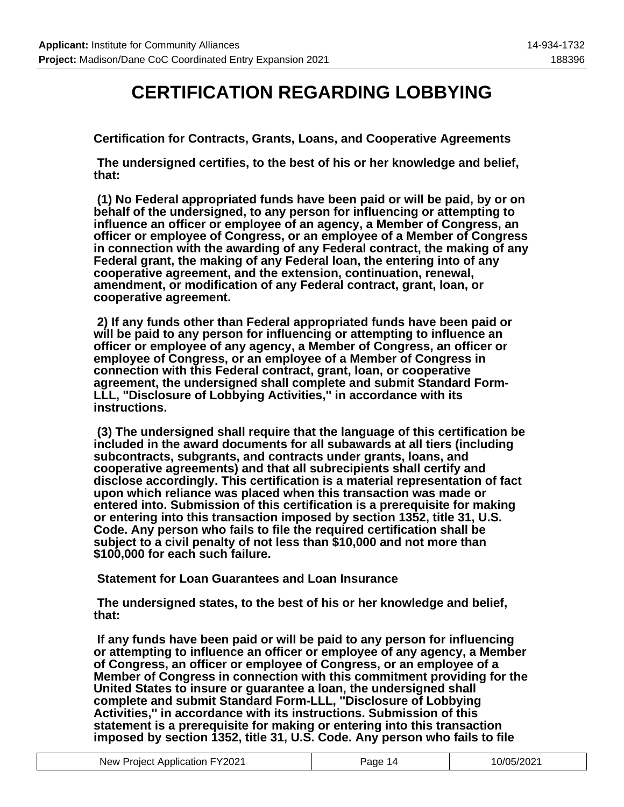### **CERTIFICATION REGARDING LOBBYING**

**Certification for Contracts, Grants, Loans, and Cooperative Agreements**

 **The undersigned certifies, to the best of his or her knowledge and belief, that:**

 **(1) No Federal appropriated funds have been paid or will be paid, by or on behalf of the undersigned, to any person for influencing or attempting to influence an officer or employee of an agency, a Member of Congress, an officer or employee of Congress, or an employee of a Member of Congress in connection with the awarding of any Federal contract, the making of any Federal grant, the making of any Federal loan, the entering into of any cooperative agreement, and the extension, continuation, renewal, amendment, or modification of any Federal contract, grant, loan, or cooperative agreement.**

 **2) If any funds other than Federal appropriated funds have been paid or will be paid to any person for influencing or attempting to influence an officer or employee of any agency, a Member of Congress, an officer or employee of Congress, or an employee of a Member of Congress in connection with this Federal contract, grant, loan, or cooperative agreement, the undersigned shall complete and submit Standard Form-LLL, ''Disclosure of Lobbying Activities,'' in accordance with its instructions.**

 **(3) The undersigned shall require that the language of this certification be included in the award documents for all subawards at all tiers (including subcontracts, subgrants, and contracts under grants, loans, and cooperative agreements) and that all subrecipients shall certify and disclose accordingly. This certification is a material representation of fact upon which reliance was placed when this transaction was made or entered into. Submission of this certification is a prerequisite for making or entering into this transaction imposed by section 1352, title 31, U.S. Code. Any person who fails to file the required certification shall be subject to a civil penalty of not less than \$10,000 and not more than \$100,000 for each such failure.**

 **Statement for Loan Guarantees and Loan Insurance**

 **The undersigned states, to the best of his or her knowledge and belief, that:**

 **If any funds have been paid or will be paid to any person for influencing or attempting to influence an officer or employee of any agency, a Member of Congress, an officer or employee of Congress, or an employee of a Member of Congress in connection with this commitment providing for the United States to insure or guarantee a loan, the undersigned shall complete and submit Standard Form-LLL, ''Disclosure of Lobbying Activities,'' in accordance with its instructions. Submission of this statement is a prerequisite for making or entering into this transaction imposed by section 1352, title 31, U.S. Code. Any person who fails to file**

| New Project Application FY2021 | Page 14 | 10/05/2021 |
|--------------------------------|---------|------------|
|--------------------------------|---------|------------|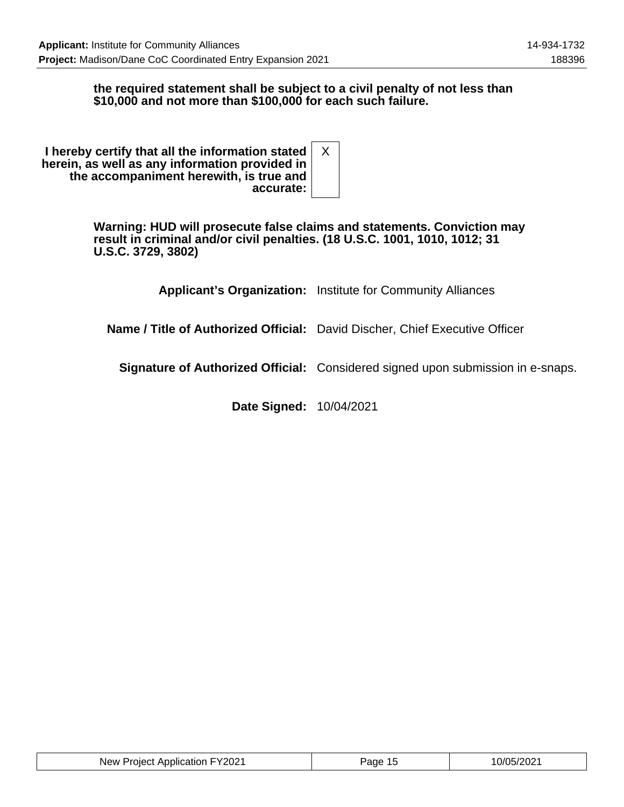### **the required statement shall be subject to a civil penalty of not less than \$10,000 and not more than \$100,000 for each such failure.**

**I hereby certify that all the information stated herein, as well as any information provided in the accompaniment herewith, is true and accurate:** X

> **Warning: HUD will prosecute false claims and statements. Conviction may result in criminal and/or civil penalties. (18 U.S.C. 1001, 1010, 1012; 31 U.S.C. 3729, 3802)**

> > **Applicant's Organization:** Institute for Community Alliances

**Name / Title of Authorized Official:** David Discher, Chief Executive Officer

**Signature of Authorized Official:** Considered signed upon submission in e-snaps.

**Date Signed:** 10/04/2021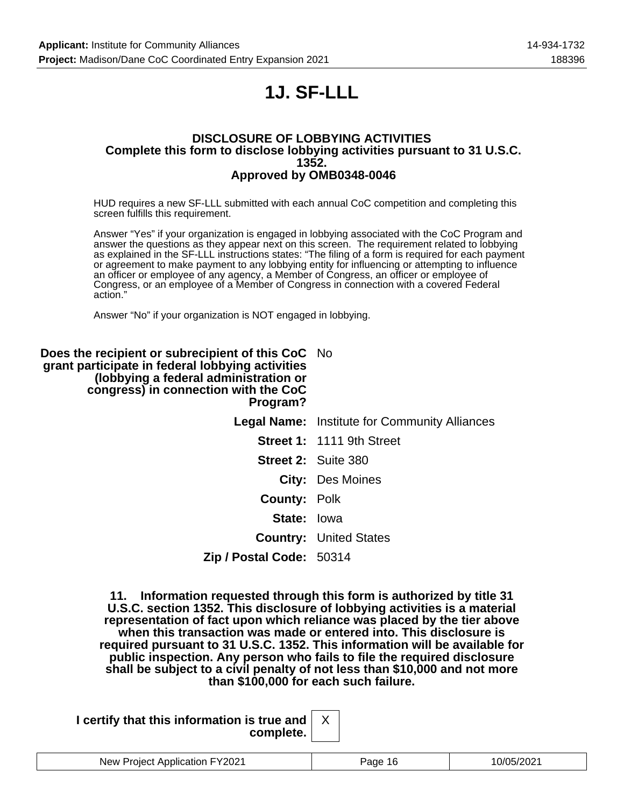# **1J. SF-LLL**

#### **DISCLOSURE OF LOBBYING ACTIVITIES Complete this form to disclose lobbying activities pursuant to 31 U.S.C. 1352. Approved by OMB0348-0046**

HUD requires a new SF-LLL submitted with each annual CoC competition and completing this screen fulfills this requirement.

Answer "Yes" if your organization is engaged in lobbying associated with the CoC Program and answer the questions as they appear next on this screen. The requirement related to lobbying as explained in the SF-LLL instructions states: "The filing of a form is required for each payment or agreement to make payment to any lobbying entity for influencing or attempting to influence an officer or employee of any agency, a Member of Congress, an officer or employee of Congress, or an employee of a Member of Congress in connection with a covered Federal action."

Answer "No" if your organization is NOT engaged in lobbying.

**Does the recipient or subrecipient of this CoC** No **grant participate in federal lobbying activities (lobbying a federal administration or congress) in connection with the CoC Program? Legal Name:** Institute for Community Alliances **Street 1:** 1111 9th Street **Street 2:** Suite 380 **City:** Des Moines **County:** Polk **State:** Iowa **Country:** United States **Zip / Postal Code:** 50314

> **11. Information requested through this form is authorized by title 31 U.S.C. section 1352. This disclosure of lobbying activities is a material representation of fact upon which reliance was placed by the tier above when this transaction was made or entered into. This disclosure is required pursuant to 31 U.S.C. 1352. This information will be available for public inspection. Any person who fails to file the required disclosure shall be subject to a civil penalty of not less than \$10,000 and not more than \$100,000 for each such failure.**

**I certify that this information is true and complete.**

|  | /2021<br>New<br>9 ≀ (<br>. <del>.</del><br>. |  |  |
|--|----------------------------------------------|--|--|
|--|----------------------------------------------|--|--|

X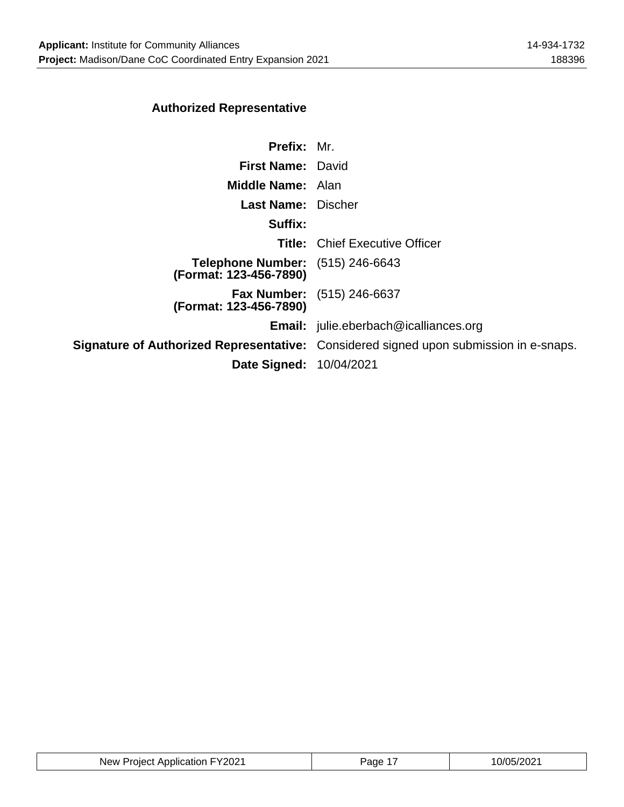### **Authorized Representative**

| Prefix: Mr.                                                       |                                                                                              |
|-------------------------------------------------------------------|----------------------------------------------------------------------------------------------|
| <b>First Name: David</b>                                          |                                                                                              |
| Middle Name: Alan                                                 |                                                                                              |
| <b>Last Name: Discher</b>                                         |                                                                                              |
| Suffix:                                                           |                                                                                              |
|                                                                   | <b>Title:</b> Chief Executive Officer                                                        |
| <b>Telephone Number:</b> (515) 246-6643<br>(Format: 123-456-7890) |                                                                                              |
| (Format: 123-456-7890)                                            | <b>Fax Number:</b> (515) 246-6637                                                            |
|                                                                   | <b>Email:</b> julie.eberbach@icalliances.org                                                 |
|                                                                   | <b>Signature of Authorized Representative:</b> Considered signed upon submission in e-snaps. |
| <b>Date Signed: 10/04/2021</b>                                    |                                                                                              |
|                                                                   |                                                                                              |

| New Project Application FY2021 | Page 1 | 10/05/2021 |
|--------------------------------|--------|------------|
|--------------------------------|--------|------------|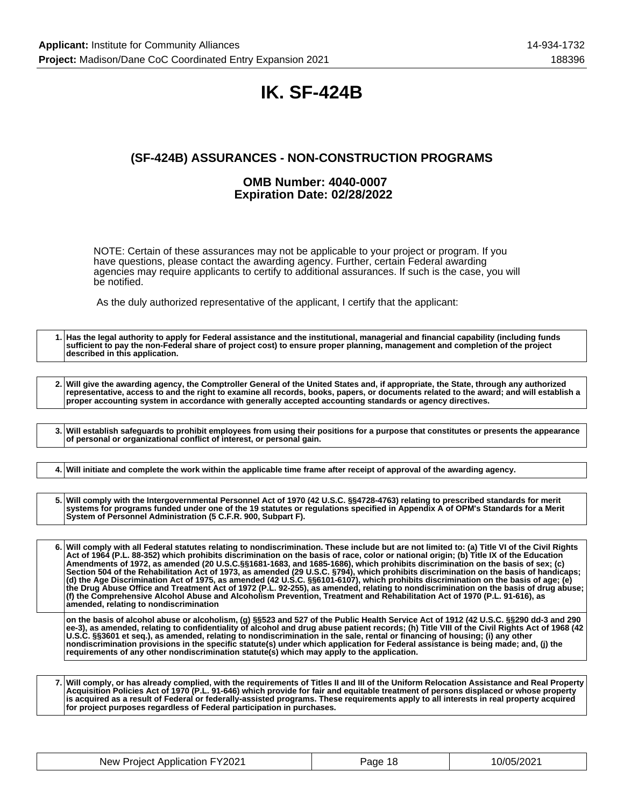### **IK. SF-424B**

### **(SF-424B) ASSURANCES - NON-CONSTRUCTION PROGRAMS**

#### **OMB Number: 4040-0007 Expiration Date: 02/28/2022**

NOTE: Certain of these assurances may not be applicable to your project or program. If you have questions, please contact the awarding agency. Further, certain Federal awarding agencies may require applicants to certify to additional assurances. If such is the case, you will be notified.

As the duly authorized representative of the applicant, I certify that the applicant:

**1. Has the legal authority to apply for Federal assistance and the institutional, managerial and financial capability (including funds sufficient to pay the non-Federal share of project cost) to ensure proper planning, management and completion of the project described in this application.**

**2. Will give the awarding agency, the Comptroller General of the United States and, if appropriate, the State, through any authorized representative, access to and the right to examine all records, books, papers, or documents related to the award; and will establish a proper accounting system in accordance with generally accepted accounting standards or agency directives.**

**3. Will establish safeguards to prohibit employees from using their positions for a purpose that constitutes or presents the appearance of personal or organizational conflict of interest, or personal gain.**

**4. Will initiate and complete the work within the applicable time frame after receipt of approval of the awarding agency.**

**5. Will comply with the Intergovernmental Personnel Act of 1970 (42 U.S.C. §§4728-4763) relating to prescribed standards for merit systems for programs funded under one of the 19 statutes or regulations specified in Appendix A of OPM's Standards for a Merit System of Personnel Administration (5 C.F.R. 900, Subpart F).**

**6. Will comply with all Federal statutes relating to nondiscrimination. These include but are not limited to: (a) Title VI of the Civil Rights Act of 1964 (P.L. 88-352) which prohibits discrimination on the basis of race, color or national origin; (b) Title IX of the Education Amendments of 1972, as amended (20 U.S.C.§§1681-1683, and 1685-1686), which prohibits discrimination on the basis of sex; (c) Section 504 of the Rehabilitation Act of 1973, as amended (29 U.S.C. §794), which prohibits discrimination on the basis of handicaps; (d) the Age Discrimination Act of 1975, as amended (42 U.S.C. §§6101-6107), which prohibits discrimination on the basis of age; (e) the Drug Abuse Office and Treatment Act of 1972 (P.L. 92-255), as amended, relating to nondiscrimination on the basis of drug abuse; (f) the Comprehensive Alcohol Abuse and Alcoholism Prevention, Treatment and Rehabilitation Act of 1970 (P.L. 91-616), as amended, relating to nondiscrimination**

**on the basis of alcohol abuse or alcoholism, (g) §§523 and 527 of the Public Health Service Act of 1912 (42 U.S.C. §§290 dd-3 and 290 ee-3), as amended, relating to confidentiality of alcohol and drug abuse patient records; (h) Title VIII of the Civil Rights Act of 1968 (42 U.S.C. §§3601 et seq.), as amended, relating to nondiscrimination in the sale, rental or financing of housing; (i) any other nondiscrimination provisions in the specific statute(s) under which application for Federal assistance is being made; and, (j) the requirements of any other nondiscrimination statute(s) which may apply to the application.**

**7. Will comply, or has already complied, with the requirements of Titles II and III of the Uniform Relocation Assistance and Real Property Acquisition Policies Act of 1970 (P.L. 91-646) which provide for fair and equitable treatment of persons displaced or whose property is acquired as a result of Federal or federally-assisted programs. These requirements apply to all interests in real property acquired for project purposes regardless of Federal participation in purchases.**

| New Project Application FY2021 | Page 18 | 10/05/2021 |
|--------------------------------|---------|------------|
|--------------------------------|---------|------------|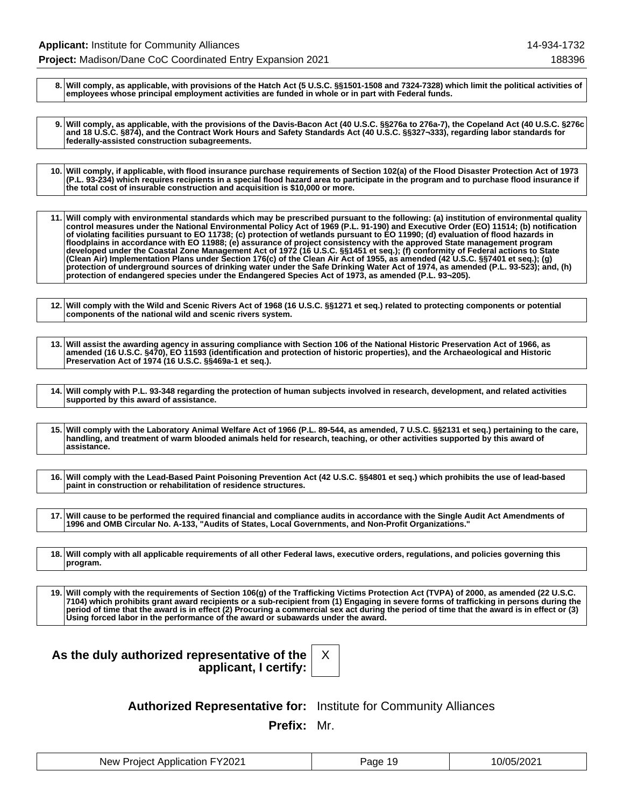**8. Will comply, as applicable, with provisions of the Hatch Act (5 U.S.C. §§1501-1508 and 7324-7328) which limit the political activities of employees whose principal employment activities are funded in whole or in part with Federal funds.**

**9. Will comply, as applicable, with the provisions of the Davis-Bacon Act (40 U.S.C. §§276a to 276a-7), the Copeland Act (40 U.S.C. §276c and 18 U.S.C. §874), and the Contract Work Hours and Safety Standards Act (40 U.S.C. §§327¬333), regarding labor standards for federally-assisted construction subagreements.**

**10. Will comply, if applicable, with flood insurance purchase requirements of Section 102(a) of the Flood Disaster Protection Act of 1973 (P.L. 93-234) which requires recipients in a special flood hazard area to participate in the program and to purchase flood insurance if the total cost of insurable construction and acquisition is \$10,000 or more.**

**11. Will comply with environmental standards which may be prescribed pursuant to the following: (a) institution of environmental quality control measures under the National Environmental Policy Act of 1969 (P.L. 91-190) and Executive Order (EO) 11514; (b) notification of violating facilities pursuant to EO 11738; (c) protection of wetlands pursuant to EO 11990; (d) evaluation of flood hazards in floodplains in accordance with EO 11988; (e) assurance of project consistency with the approved State management program developed under the Coastal Zone Management Act of 1972 (16 U.S.C. §§1451 et seq.); (f) conformity of Federal actions to State (Clean Air) Implementation Plans under Section 176(c) of the Clean Air Act of 1955, as amended (42 U.S.C. §§7401 et seq.); (g) protection of underground sources of drinking water under the Safe Drinking Water Act of 1974, as amended (P.L. 93-523); and, (h) protection of endangered species under the Endangered Species Act of 1973, as amended (P.L. 93¬205).**

**12. Will comply with the Wild and Scenic Rivers Act of 1968 (16 U.S.C. §§1271 et seq.) related to protecting components or potential components of the national wild and scenic rivers system.**

**13. Will assist the awarding agency in assuring compliance with Section 106 of the National Historic Preservation Act of 1966, as amended (16 U.S.C. §470), EO 11593 (identification and protection of historic properties), and the Archaeological and Historic Preservation Act of 1974 (16 U.S.C. §§469a-1 et seq.).**

**14. Will comply with P.L. 93-348 regarding the protection of human subjects involved in research, development, and related activities supported by this award of assistance.**

**15. Will comply with the Laboratory Animal Welfare Act of 1966 (P.L. 89-544, as amended, 7 U.S.C. §§2131 et seq.) pertaining to the care, handling, and treatment of warm blooded animals held for research, teaching, or other activities supported by this award of assistance.**

**16. Will comply with the Lead-Based Paint Poisoning Prevention Act (42 U.S.C. §§4801 et seq.) which prohibits the use of lead-based paint in construction or rehabilitation of residence structures.**

**17. Will cause to be performed the required financial and compliance audits in accordance with the Single Audit Act Amendments of 1996 and OMB Circular No. A-133, "Audits of States, Local Governments, and Non-Profit Organizations."**

**18. Will comply with all applicable requirements of all other Federal laws, executive orders, regulations, and policies governing this program.**

**19. Will comply with the requirements of Section 106(g) of the Trafficking Victims Protection Act (TVPA) of 2000, as amended (22 U.S.C. 7104) which prohibits grant award recipients or a sub-recipient from (1) Engaging in severe forms of trafficking in persons during the period of time that the award is in effect (2) Procuring a commercial sex act during the period of time that the award is in effect or (3) Using forced labor in the performance of the award or subawards under the award.**

| As the duly authorized representative of the |                       |  |
|----------------------------------------------|-----------------------|--|
|                                              | applicant, I certify: |  |



**Authorized Representative for:** Institute for Community Alliances

**Prefix:** Mr.

| New Project Application FY2021 | Page 19 | 10/05/2021 |
|--------------------------------|---------|------------|
|--------------------------------|---------|------------|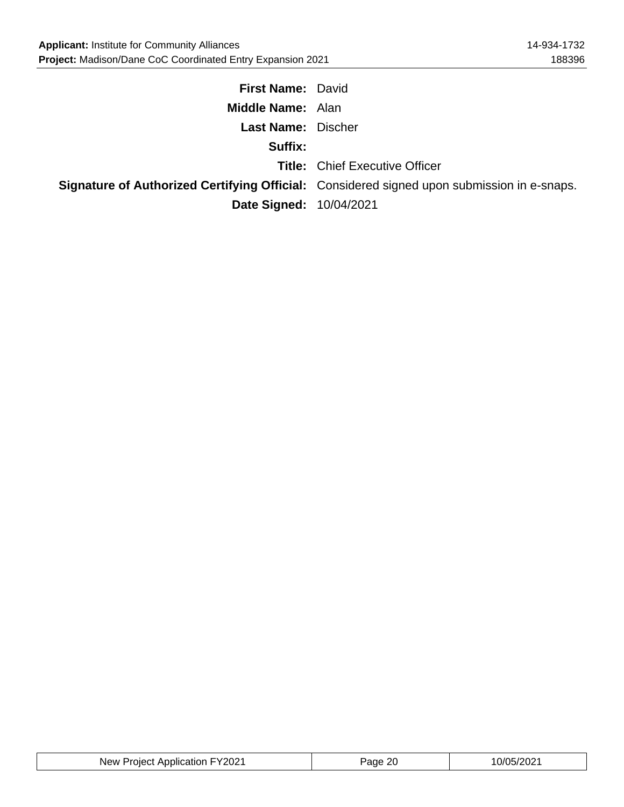| <b>First Name: David</b>       |                                                                                                   |
|--------------------------------|---------------------------------------------------------------------------------------------------|
| Middle Name: Alan              |                                                                                                   |
| <b>Last Name: Discher</b>      |                                                                                                   |
| Suffix:                        |                                                                                                   |
|                                | <b>Title: Chief Executive Officer</b>                                                             |
|                                | <b>Signature of Authorized Certifying Official:</b> Considered signed upon submission in e-snaps. |
| <b>Date Signed: 10/04/2021</b> |                                                                                                   |

| New Project Application FY2021 | Page 20 | 10/05/2021 |
|--------------------------------|---------|------------|
|--------------------------------|---------|------------|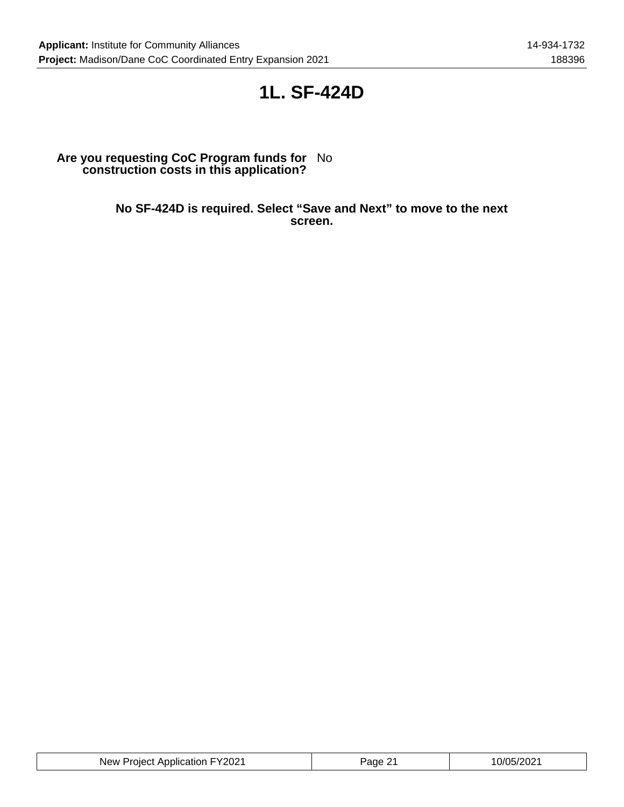### **1L. SF-424D**

#### **Are you requesting CoC Program funds for construction costs in this application?** No

**No SF-424D is required. Select "Save and Next" to move to the next screen.**

| New Project Application FY2021 | Page<br>∼ | 10/05/2021 |
|--------------------------------|-----------|------------|
|--------------------------------|-----------|------------|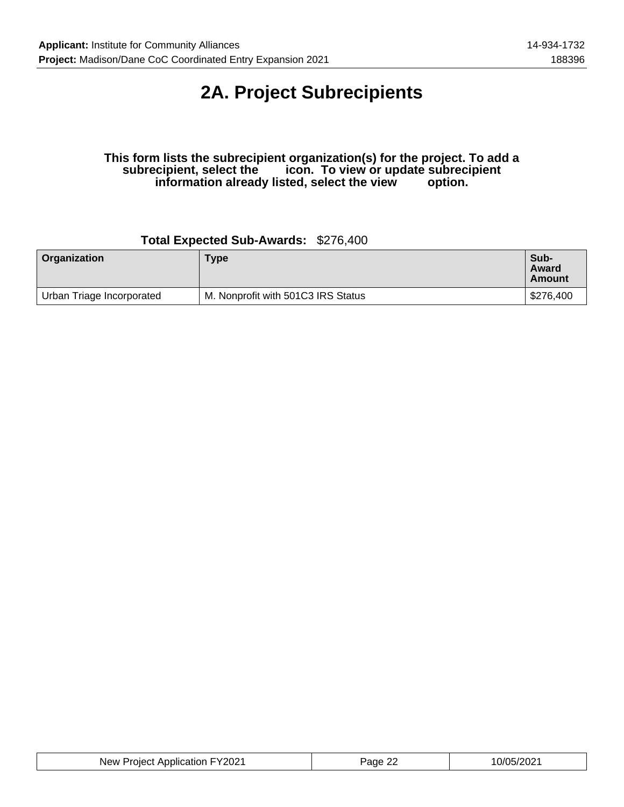### **2A. Project Subrecipients**

### **This form lists the subrecipient organization(s) for the project. To add a** icon. To view or update subrecipient<br>sted, select the view option. information already listed, select the view

### **Total Expected Sub-Awards:** \$276,400

| Organization              | Type                               | Sub-<br>Award<br>Amount |
|---------------------------|------------------------------------|-------------------------|
| Urban Triage Incorporated | M. Nonprofit with 501C3 IRS Status | \$276,400               |

| New Project Application FY2021 | Page 22 | 10/05/2021 |
|--------------------------------|---------|------------|
|--------------------------------|---------|------------|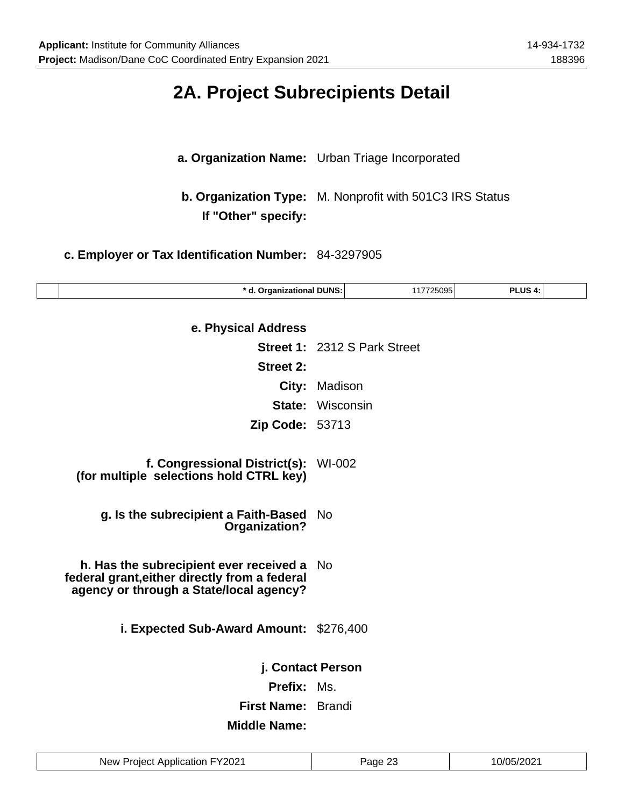### **2A. Project Subrecipients Detail**

**a. Organization Name:** Urban Triage Incorporated

**b. Organization Type:** M. Nonprofit with 501C3 IRS Status **If "Other" specify:**

**c. Employer or Tax Identification Number:** 84-3297905

| * d. Organizational DUNS:                                                                                                              |                                     | 117725095 | PLUS <sub>4:</sub> |  |
|----------------------------------------------------------------------------------------------------------------------------------------|-------------------------------------|-----------|--------------------|--|
|                                                                                                                                        |                                     |           |                    |  |
| e. Physical Address                                                                                                                    | <b>Street 1: 2312 S Park Street</b> |           |                    |  |
|                                                                                                                                        |                                     |           |                    |  |
| <b>Street 2:</b>                                                                                                                       |                                     |           |                    |  |
|                                                                                                                                        | City: Madison                       |           |                    |  |
|                                                                                                                                        | <b>State: Wisconsin</b>             |           |                    |  |
| <b>Zip Code: 53713</b>                                                                                                                 |                                     |           |                    |  |
| f. Congressional District(s): WI-002<br>(for multiple selections hold CTRL key)                                                        |                                     |           |                    |  |
| g. Is the subrecipient a Faith-Based No<br>Organization?                                                                               |                                     |           |                    |  |
| h. Has the subrecipient ever received a No<br>federal grant, either directly from a federal<br>agency or through a State/local agency? |                                     |           |                    |  |
| i. Expected Sub-Award Amount: \$276,400                                                                                                |                                     |           |                    |  |
| j. Contact Person                                                                                                                      |                                     |           |                    |  |
| Prefix: Ms.                                                                                                                            |                                     |           |                    |  |
| First Name: Brandi                                                                                                                     |                                     |           |                    |  |
| <b>Middle Name:</b>                                                                                                                    |                                     |           |                    |  |
|                                                                                                                                        |                                     |           |                    |  |

New Project Application FY2021 | Page 23 | 10/05/2021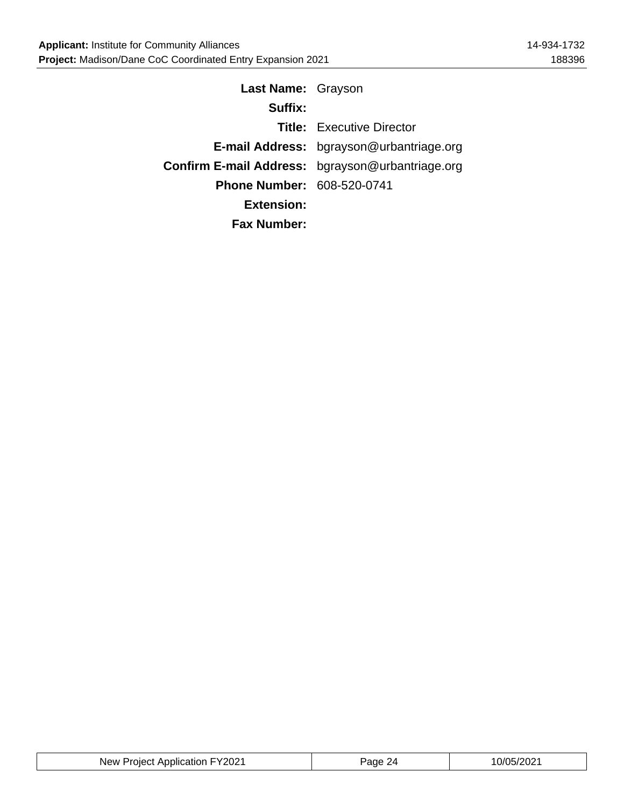| Last Name: Grayson                |                                                         |
|-----------------------------------|---------------------------------------------------------|
| Suffix:                           |                                                         |
|                                   | <b>Title:</b> Executive Director                        |
|                                   | <b>E-mail Address:</b> bgrayson@urbantriage.org         |
|                                   | <b>Confirm E-mail Address:</b> bgrayson@urbantriage.org |
| <b>Phone Number: 608-520-0741</b> |                                                         |
| <b>Extension:</b>                 |                                                         |
| <b>Fax Number:</b>                |                                                         |

| New Project Application FY2021 | Page<br>24 | 10/05/2021 |
|--------------------------------|------------|------------|
|--------------------------------|------------|------------|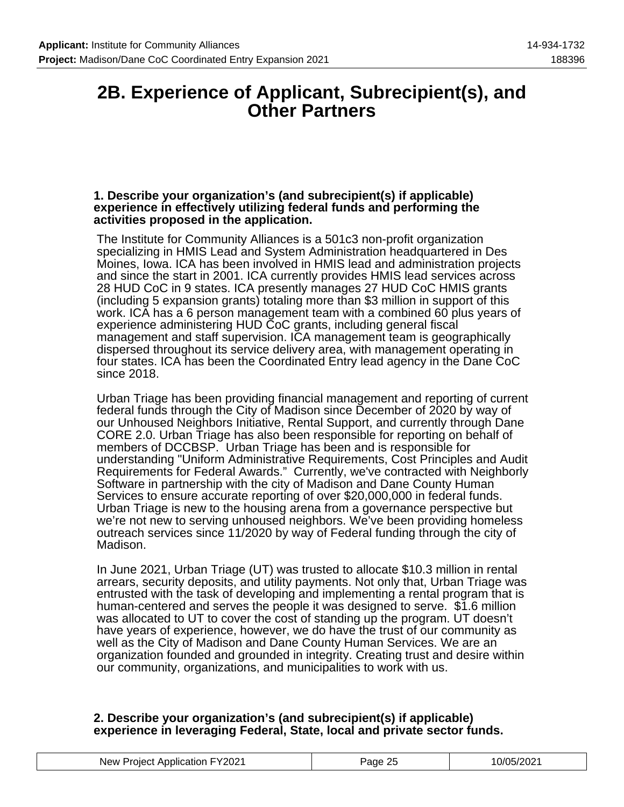### **2B. Experience of Applicant, Subrecipient(s), and Other Partners**

#### **1. Describe your organization's (and subrecipient(s) if applicable) experience in effectively utilizing federal funds and performing the activities proposed in the application.**

The Institute for Community Alliances is a 501c3 non-profit organization specializing in HMIS Lead and System Administration headquartered in Des Moines, Iowa. ICA has been involved in HMIS lead and administration projects and since the start in 2001. ICA currently provides HMIS lead services across 28 HUD CoC in 9 states. ICA presently manages 27 HUD CoC HMIS grants (including 5 expansion grants) totaling more than \$3 million in support of this work. ICA has a 6 person management team with a combined 60 plus years of experience administering HUD CoC grants, including general fiscal management and staff supervision. ICA management team is geographically dispersed throughout its service delivery area, with management operating in four states. ICA has been the Coordinated Entry lead agency in the Dane CoC since 2018.

Urban Triage has been providing financial management and reporting of current federal funds through the City of Madison since December of 2020 by way of our Unhoused Neighbors Initiative, Rental Support, and currently through Dane CORE 2.0. Urban Triage has also been responsible for reporting on behalf of members of DCCBSP. Urban Triage has been and is responsible for understanding "Uniform Administrative Requirements, Cost Principles and Audit Requirements for Federal Awards." Currently, we've contracted with Neighborly Software in partnership with the city of Madison and Dane County Human Services to ensure accurate reporting of over \$20,000,000 in federal funds. Urban Triage is new to the housing arena from a governance perspective but we're not new to serving unhoused neighbors. We've been providing homeless outreach services since 11/2020 by way of Federal funding through the city of Madison.

In June 2021, Urban Triage (UT) was trusted to allocate \$10.3 million in rental arrears, security deposits, and utility payments. Not only that, Urban Triage was entrusted with the task of developing and implementing a rental program that is human-centered and serves the people it was designed to serve. \$1.6 million was allocated to UT to cover the cost of standing up the program. UT doesn't have years of experience, however, we do have the trust of our community as well as the City of Madison and Dane County Human Services. We are an organization founded and grounded in integrity. Creating trust and desire within our community, organizations, and municipalities to work with us.

### **2. Describe your organization's (and subrecipient(s) if applicable) experience in leveraging Federal, State, local and private sector funds.**

| New Project Application FY2021 | Page 25 | 10/05/2021 |
|--------------------------------|---------|------------|
|--------------------------------|---------|------------|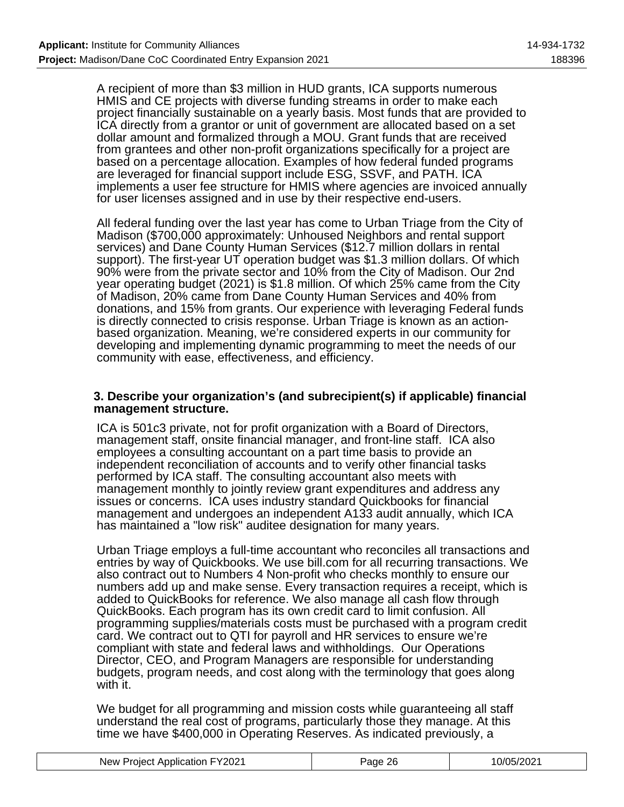A recipient of more than \$3 million in HUD grants, ICA supports numerous HMIS and CE projects with diverse funding streams in order to make each project financially sustainable on a yearly basis. Most funds that are provided to ICA directly from a grantor or unit of government are allocated based on a set dollar amount and formalized through a MOU. Grant funds that are received from grantees and other non-profit organizations specifically for a project are based on a percentage allocation. Examples of how federal funded programs are leveraged for financial support include ESG, SSVF, and PATH. ICA implements a user fee structure for HMIS where agencies are invoiced annually for user licenses assigned and in use by their respective end-users.

All federal funding over the last year has come to Urban Triage from the City of Madison (\$700,000 approximately: Unhoused Neighbors and rental support services) and Dane County Human Services (\$12.7 million dollars in rental support). The first-year UT operation budget was \$1.3 million dollars. Of which 90% were from the private sector and 10% from the City of Madison. Our 2nd year operating budget (2021) is \$1.8 million. Of which 25% came from the City of Madison, 20% came from Dane County Human Services and 40% from donations, and 15% from grants. Our experience with leveraging Federal funds is directly connected to crisis response. Urban Triage is known as an actionbased organization. Meaning, we're considered experts in our community for developing and implementing dynamic programming to meet the needs of our community with ease, effectiveness, and efficiency.

#### **3. Describe your organization's (and subrecipient(s) if applicable) financial management structure.**

ICA is 501c3 private, not for profit organization with a Board of Directors, management staff, onsite financial manager, and front-line staff. ICA also employees a consulting accountant on a part time basis to provide an independent reconciliation of accounts and to verify other financial tasks performed by ICA staff. The consulting accountant also meets with management monthly to jointly review grant expenditures and address any issues or concerns. ICA uses industry standard Quickbooks for financial management and undergoes an independent A133 audit annually, which ICA has maintained a "low risk" auditee designation for many years.

Urban Triage employs a full-time accountant who reconciles all transactions and entries by way of Quickbooks. We use bill.com for all recurring transactions. We also contract out to Numbers 4 Non-profit who checks monthly to ensure our numbers add up and make sense. Every transaction requires a receipt, which is added to QuickBooks for reference. We also manage all cash flow through QuickBooks. Each program has its own credit card to limit confusion. All programming supplies/materials costs must be purchased with a program credit card. We contract out to QTI for payroll and HR services to ensure we're compliant with state and federal laws and withholdings. Our Operations Director, CEO, and Program Managers are responsible for understanding budgets, program needs, and cost along with the terminology that goes along with it.

We budget for all programming and mission costs while guaranteeing all staff understand the real cost of programs, particularly those they manage. At this time we have \$400,000 in Operating Reserves. As indicated previously, a

| New Project Application FY2021 | Page 26 | 10/05/2021 |
|--------------------------------|---------|------------|
|--------------------------------|---------|------------|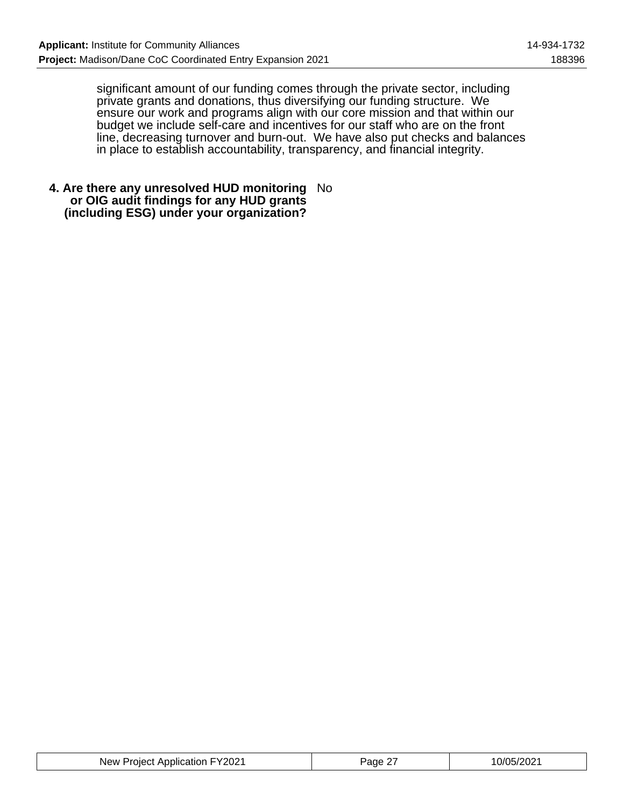significant amount of our funding comes through the private sector, including private grants and donations, thus diversifying our funding structure. We ensure our work and programs align with our core mission and that within our budget we include self-care and incentives for our staff who are on the front line, decreasing turnover and burn-out. We have also put checks and balances in place to establish accountability, transparency, and financial integrity.

**4. Are there any unresolved HUD monitoring** No **or OIG audit findings for any HUD grants (including ESG) under your organization?**

| Y2021<br><b>Project Application i</b><br><b>New</b> | Page | 10/05/2021 |
|-----------------------------------------------------|------|------------|
|-----------------------------------------------------|------|------------|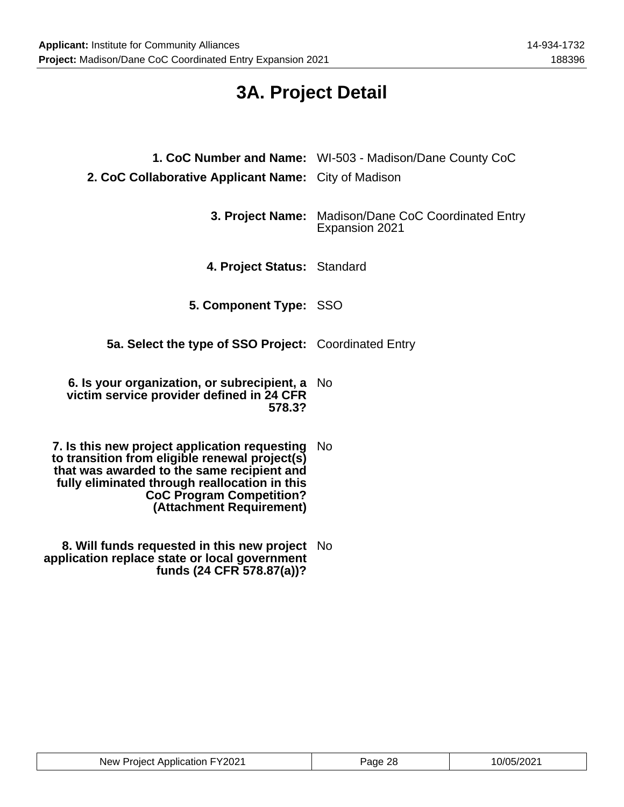### **3A. Project Detail**

| 2. CoC Collaborative Applicant Name: City of Madison                                                                                                                                                                                                             | 1. CoC Number and Name: WI-503 - Madison/Dane County CoC                     |
|------------------------------------------------------------------------------------------------------------------------------------------------------------------------------------------------------------------------------------------------------------------|------------------------------------------------------------------------------|
|                                                                                                                                                                                                                                                                  | <b>3. Project Name:</b> Madison/Dane CoC Coordinated Entry<br>Expansion 2021 |
| 4. Project Status: Standard                                                                                                                                                                                                                                      |                                                                              |
| 5. Component Type: SSO                                                                                                                                                                                                                                           |                                                                              |
| 5a. Select the type of SSO Project: Coordinated Entry                                                                                                                                                                                                            |                                                                              |
| 6. Is your organization, or subrecipient, a No<br>victim service provider defined in 24 CFR<br>578.3?                                                                                                                                                            |                                                                              |
| 7. Is this new project application requesting No<br>to transition from eligible renewal project(s)<br>that was awarded to the same recipient and<br>fully eliminated through reallocation in this<br><b>CoC Program Competition?</b><br>(Attachment Requirement) |                                                                              |
| 8. Will funds requested in this new project<br>application replace state or local government<br>funds (24 CFR 578.87(a))?                                                                                                                                        | - No                                                                         |

| New Project Application FY2021 | Page 28 | 10/05/2021 |
|--------------------------------|---------|------------|
|--------------------------------|---------|------------|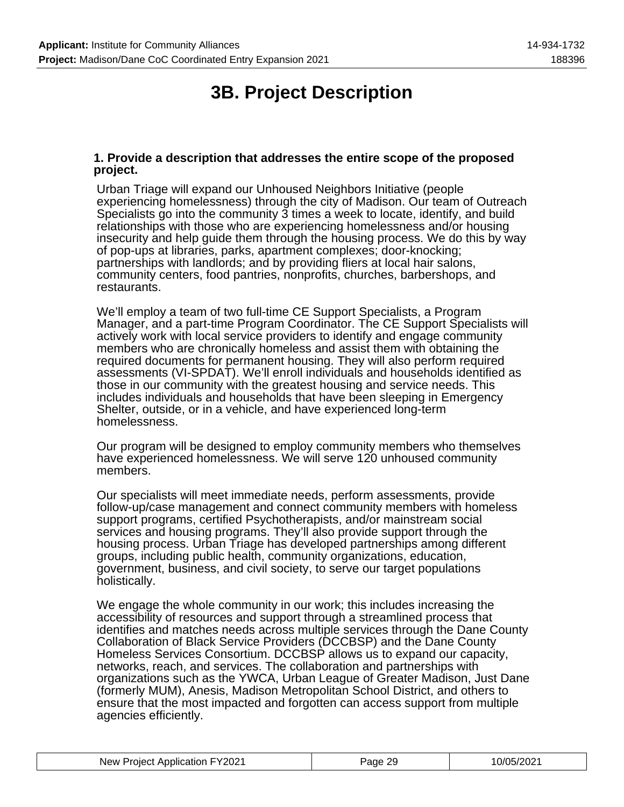# **3B. Project Description**

### **1. Provide a description that addresses the entire scope of the proposed project.**

Urban Triage will expand our Unhoused Neighbors Initiative (people experiencing homelessness) through the city of Madison. Our team of Outreach Specialists go into the community 3 times a week to locate, identify, and build relationships with those who are experiencing homelessness and/or housing insecurity and help guide them through the housing process. We do this by way of pop-ups at libraries, parks, apartment complexes; door-knocking; partnerships with landlords; and by providing fliers at local hair salons, community centers, food pantries, nonprofits, churches, barbershops, and restaurants.

We'll employ a team of two full-time CE Support Specialists, a Program Manager, and a part-time Program Coordinator. The CE Support Specialists will actively work with local service providers to identify and engage community members who are chronically homeless and assist them with obtaining the required documents for permanent housing. They will also perform required assessments (VI-SPDAT). We'll enroll individuals and households identified as those in our community with the greatest housing and service needs. This includes individuals and households that have been sleeping in Emergency Shelter, outside, or in a vehicle, and have experienced long-term homelessness.

Our program will be designed to employ community members who themselves have experienced homelessness. We will serve 120 unhoused community members.

Our specialists will meet immediate needs, perform assessments, provide follow-up/case management and connect community members with homeless support programs, certified Psychotherapists, and/or mainstream social services and housing programs. They'll also provide support through the housing process. Urban Triage has developed partnerships among different groups, including public health, community organizations, education, government, business, and civil society, to serve our target populations holistically.

We engage the whole community in our work; this includes increasing the accessibility of resources and support through a streamlined process that identifies and matches needs across multiple services through the Dane County Collaboration of Black Service Providers (DCCBSP) and the Dane County Homeless Services Consortium. DCCBSP allows us to expand our capacity, networks, reach, and services. The collaboration and partnerships with organizations such as the YWCA, Urban League of Greater Madison, Just Dane (formerly MUM), Anesis, Madison Metropolitan School District, and others to ensure that the most impacted and forgotten can access support from multiple agencies efficiently.

| New Project Application FY2021 | Page 29 | 10/05/2021 |
|--------------------------------|---------|------------|
|--------------------------------|---------|------------|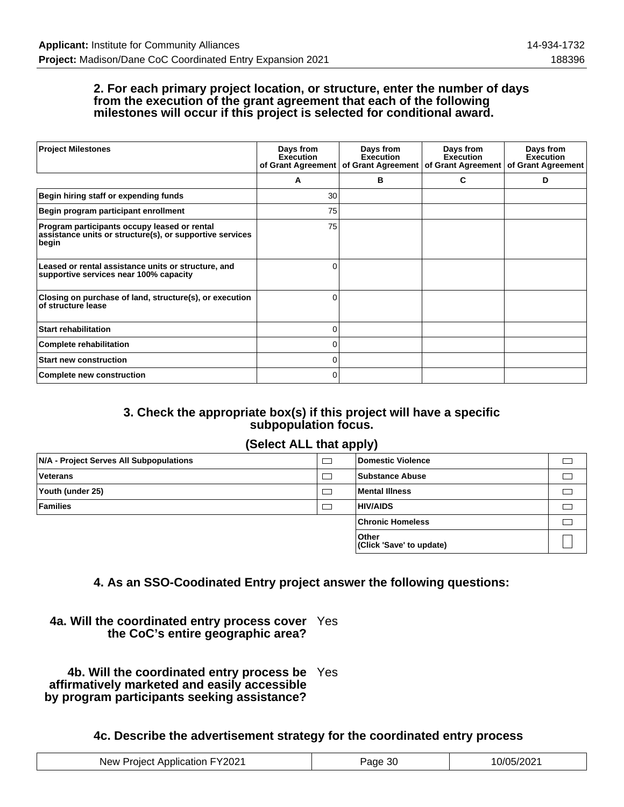#### **2. For each primary project location, or structure, enter the number of days from the execution of the grant agreement that each of the following milestones will occur if this project is selected for conditional award.**

| <b>Project Milestones</b>                                                                                         | Days from<br><b>Execution</b> | Days from<br><b>Execution</b><br>of Grant Agreement   of Grant Agreement | Days from<br><b>Execution</b><br>of Grant Agreement | Days from<br><b>Execution</b><br>of Grant Agreement |
|-------------------------------------------------------------------------------------------------------------------|-------------------------------|--------------------------------------------------------------------------|-----------------------------------------------------|-----------------------------------------------------|
|                                                                                                                   | А                             | в                                                                        | C                                                   | D                                                   |
| Begin hiring staff or expending funds                                                                             | 30                            |                                                                          |                                                     |                                                     |
| Begin program participant enrollment                                                                              | 75                            |                                                                          |                                                     |                                                     |
| Program participants occupy leased or rental<br>assistance units or structure(s), or supportive services<br>begin | 75                            |                                                                          |                                                     |                                                     |
| Leased or rental assistance units or structure, and<br>supportive services near 100% capacity                     | $\Omega$                      |                                                                          |                                                     |                                                     |
| Closing on purchase of land, structure(s), or execution<br>of structure lease                                     | 0                             |                                                                          |                                                     |                                                     |
| <b>Start rehabilitation</b>                                                                                       | 0                             |                                                                          |                                                     |                                                     |
| <b>Complete rehabilitation</b>                                                                                    | $\Omega$                      |                                                                          |                                                     |                                                     |
| <b>Start new construction</b>                                                                                     | $\Omega$                      |                                                                          |                                                     |                                                     |
| <b>Complete new construction</b>                                                                                  | $\Omega$                      |                                                                          |                                                     |                                                     |

### **3. Check the appropriate box(s) if this project will have a specific subpopulation focus.**

### **(Select ALL that apply)**

| N/A - Project Serves All Subpopulations | <b>Domestic Violence</b>                 |  |
|-----------------------------------------|------------------------------------------|--|
| Veterans                                | <b>Substance Abuse</b>                   |  |
| Youth (under 25)                        | Mental Illness                           |  |
| Families                                | <b>HIV/AIDS</b>                          |  |
|                                         | <b>Chronic Homeless</b>                  |  |
|                                         | <b>Other</b><br>(Click 'Save' to update) |  |

### **4. As an SSO-Coodinated Entry project answer the following questions:**

**4a. Will the coordinated entry process cover** Yes **the CoC's entire geographic area?**

**4b. Will the coordinated entry process be** Yes **affirmatively marketed and easily accessible by program participants seeking assistance?**

**4c. Describe the advertisement strategy for the coordinated entry process**

| New Project Application FY2021 | Page 30 | 10/05/2021 |
|--------------------------------|---------|------------|
|--------------------------------|---------|------------|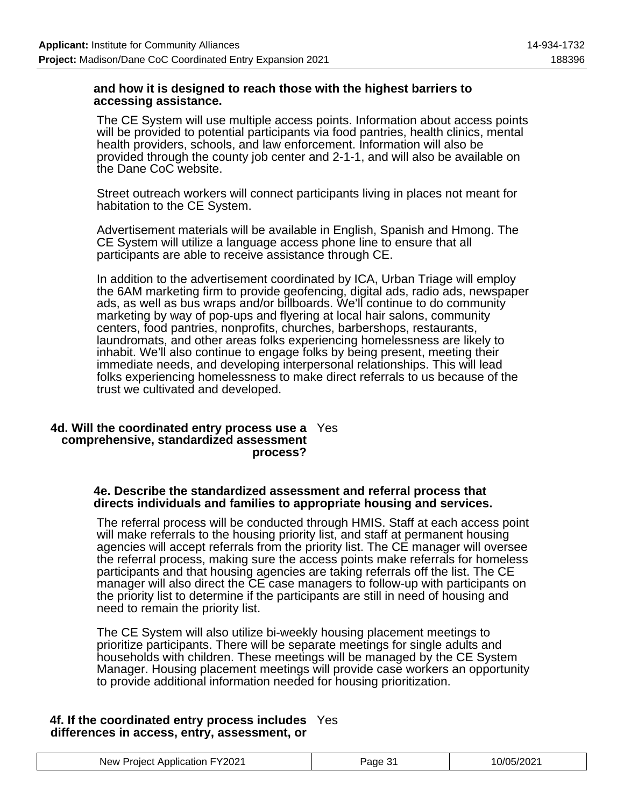#### **and how it is designed to reach those with the highest barriers to accessing assistance.**

The CE System will use multiple access points. Information about access points will be provided to potential participants via food pantries, health clinics, mental health providers, schools, and law enforcement. Information will also be provided through the county job center and 2-1-1, and will also be available on the Dane CoC website.

Street outreach workers will connect participants living in places not meant for habitation to the CE System.

Advertisement materials will be available in English, Spanish and Hmong. The CE System will utilize a language access phone line to ensure that all participants are able to receive assistance through CE.

In addition to the advertisement coordinated by ICA, Urban Triage will employ the 6AM marketing firm to provide geofencing, digital ads, radio ads, newspaper ads, as well as bus wraps and/or billboards. We'll continue to do community marketing by way of pop-ups and flyering at local hair salons, community centers, food pantries, nonprofits, churches, barbershops, restaurants, laundromats, and other areas folks experiencing homelessness are likely to inhabit. We'll also continue to engage folks by being present, meeting their immediate needs, and developing interpersonal relationships. This will lead folks experiencing homelessness to make direct referrals to us because of the trust we cultivated and developed.

#### **4d. Will the coordinated entry process use a** Yes **comprehensive, standardized assessment process?**

#### **4e. Describe the standardized assessment and referral process that directs individuals and families to appropriate housing and services.**

The referral process will be conducted through HMIS. Staff at each access point will make referrals to the housing priority list, and staff at permanent housing agencies will accept referrals from the priority list. The CE manager will oversee the referral process, making sure the access points make referrals for homeless participants and that housing agencies are taking referrals off the list. The CE manager will also direct the CE case managers to follow-up with participants on the priority list to determine if the participants are still in need of housing and need to remain the priority list.

The CE System will also utilize bi-weekly housing placement meetings to prioritize participants. There will be separate meetings for single adults and households with children. These meetings will be managed by the CE System Manager. Housing placement meetings will provide case workers an opportunity to provide additional information needed for housing prioritization.

#### **4f. If the coordinated entry process includes** Yes **differences in access, entry, assessment, or**

| New Project Application FY2021 | Page 31 | 10/05/2021 |
|--------------------------------|---------|------------|
|--------------------------------|---------|------------|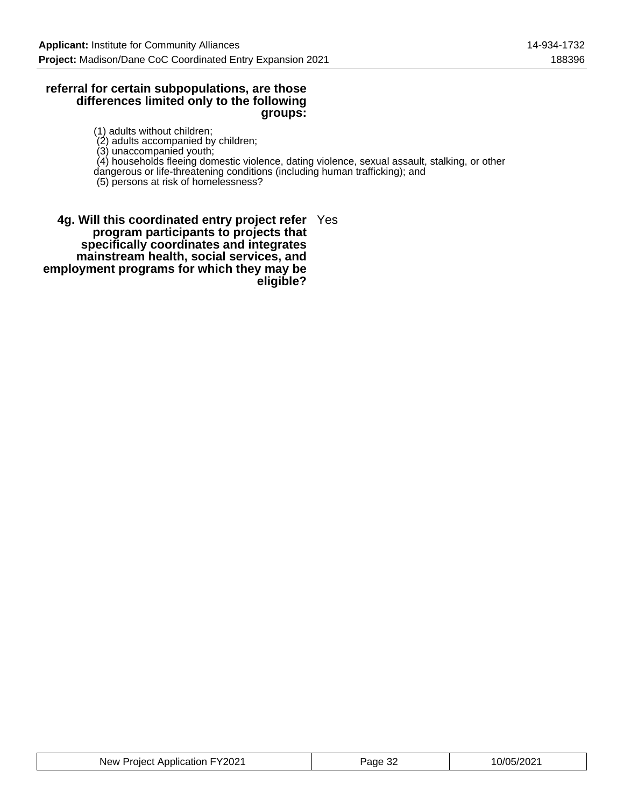#### **referral for certain subpopulations, are those differences limited only to the following groups:**

- (1) adults without children;
- $(2)$  adults accompanied by children;
- (3) unaccompanied youth;
- (4) households fleeing domestic violence, dating violence, sexual assault, stalking, or other
- dangerous or life-threatening conditions (including human trafficking); and
- (5) persons at risk of homelessness?

**4g. Will this coordinated entry project refer** Yes **program participants to projects that specifically coordinates and integrates mainstream health, social services, and employment programs for which they may be eligible?**

| New Project Application FY2021 | Page 32 | 10/05/2021 |
|--------------------------------|---------|------------|
|--------------------------------|---------|------------|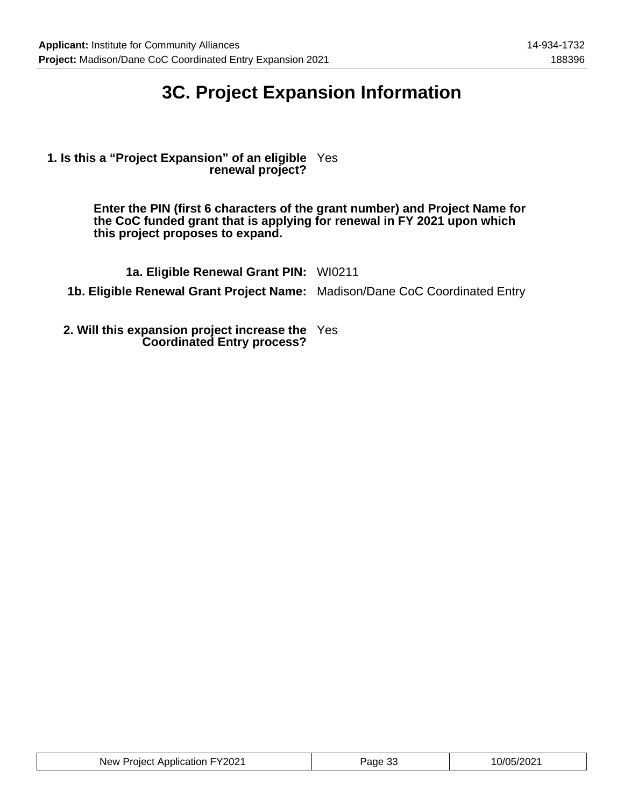### **3C. Project Expansion Information**

#### **1. Is this a "Project Expansion" of an eligible** Yes **renewal project?**

**Enter the PIN (first 6 characters of the grant number) and Project Name for the CoC funded grant that is applying for renewal in FY 2021 upon which this project proposes to expand.**

| 1a. Eligible Renewal Grant PIN: W10211                                      |  |
|-----------------------------------------------------------------------------|--|
| 1b. Eligible Renewal Grant Project Name: Madison/Dane CoC Coordinated Entry |  |

**2. Will this expansion project increase the** Yes **Coordinated Entry process?**

| New Project Application FY2021 | Page 33 | 10/05/2021 |
|--------------------------------|---------|------------|
|--------------------------------|---------|------------|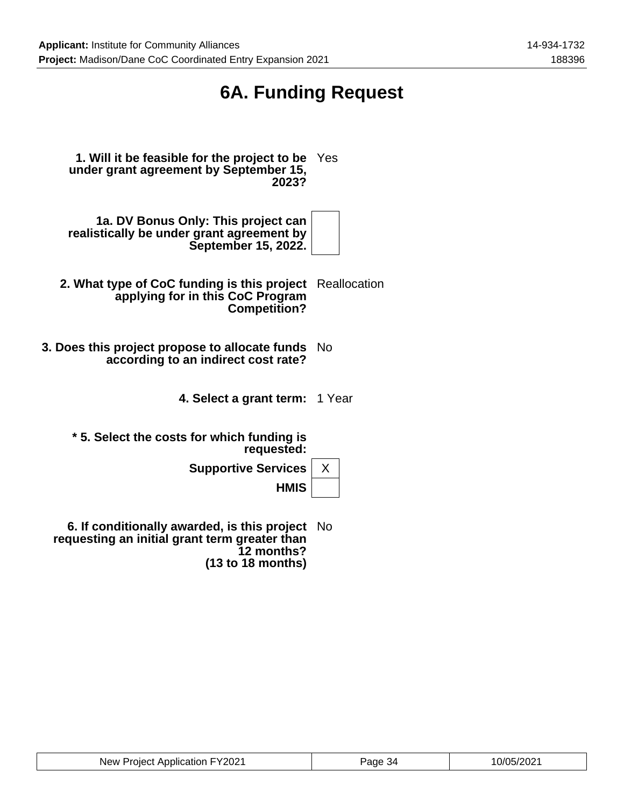# **6A. Funding Request**

**1. Will it be feasible for the project to be** Yes **under grant agreement by September 15, 2023?**

**1a. DV Bonus Only: This project can realistically be under grant agreement by September 15, 2022.**

- **2. What type of CoC funding is this project** Reallocation **applying for in this CoC Program Competition?**
- **3. Does this project propose to allocate funds** No **according to an indirect cost rate?**
	- **4. Select a grant term:** 1 Year
	- **\* 5. Select the costs for which funding is requested:**

**Supportive Services** | X

**HMIS**

**6. If conditionally awarded, is this project** No **requesting an initial grant term greater than 12 months? (13 to 18 months)**

| New Project Application FY2021 | Page | 10/05/2021 |
|--------------------------------|------|------------|
|--------------------------------|------|------------|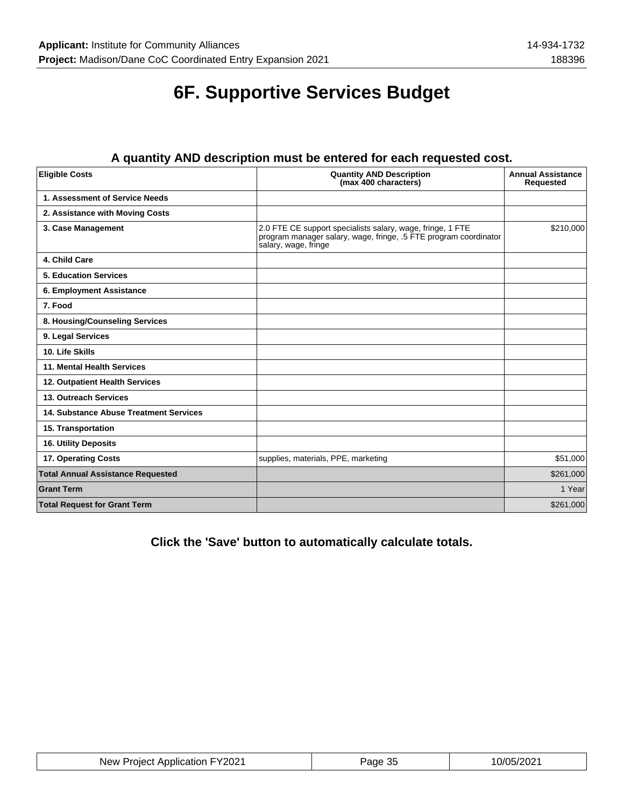### **6F. Supportive Services Budget**

### **A quantity AND description must be entered for each requested cost.**

| <b>Eligible Costs</b>                         | <b>Quantity AND Description</b><br>(max 400 characters)                                                                                                | <b>Annual Assistance</b><br><b>Requested</b> |
|-----------------------------------------------|--------------------------------------------------------------------------------------------------------------------------------------------------------|----------------------------------------------|
| 1. Assessment of Service Needs                |                                                                                                                                                        |                                              |
| 2. Assistance with Moving Costs               |                                                                                                                                                        |                                              |
| 3. Case Management                            | 2.0 FTE CE support specialists salary, wage, fringe, 1 FTE<br>program manager salary, wage, fringe, .5 FTE program coordinator<br>salary, wage, fringe | \$210,000                                    |
| 4. Child Care                                 |                                                                                                                                                        |                                              |
| <b>5. Education Services</b>                  |                                                                                                                                                        |                                              |
| 6. Employment Assistance                      |                                                                                                                                                        |                                              |
| 7. Food                                       |                                                                                                                                                        |                                              |
| 8. Housing/Counseling Services                |                                                                                                                                                        |                                              |
| 9. Legal Services                             |                                                                                                                                                        |                                              |
| 10. Life Skills                               |                                                                                                                                                        |                                              |
| 11. Mental Health Services                    |                                                                                                                                                        |                                              |
| 12. Outpatient Health Services                |                                                                                                                                                        |                                              |
| 13. Outreach Services                         |                                                                                                                                                        |                                              |
| <b>14. Substance Abuse Treatment Services</b> |                                                                                                                                                        |                                              |
| 15. Transportation                            |                                                                                                                                                        |                                              |
| <b>16. Utility Deposits</b>                   |                                                                                                                                                        |                                              |
| 17. Operating Costs                           | supplies, materials, PPE, marketing                                                                                                                    | \$51,000                                     |
| <b>Total Annual Assistance Requested</b>      |                                                                                                                                                        | \$261,000                                    |
| <b>Grant Term</b>                             |                                                                                                                                                        | 1 Year                                       |
| <b>Total Request for Grant Term</b>           |                                                                                                                                                        | \$261,000                                    |

**Click the 'Save' button to automatically calculate totals.**

| New Project Application FY2021 | Page 35 | 10/05/2021 |
|--------------------------------|---------|------------|
|--------------------------------|---------|------------|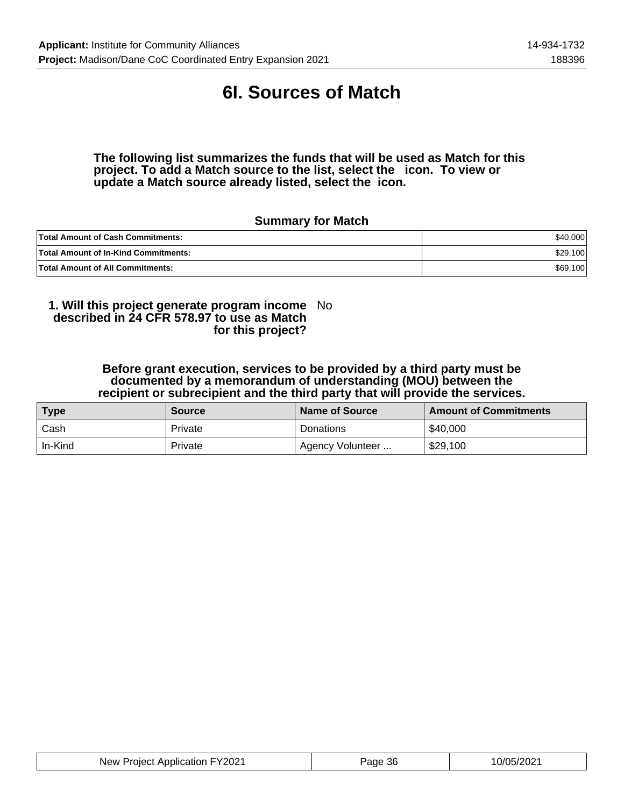### **6I. Sources of Match**

**The following list summarizes the funds that will be used as Match for this project. To add a Match source to the list, select the icon. To view or update a Match source already listed, select the icon.**

#### **Summary for Match**

| <b>Total Amount of Cash Commitments:</b>    | \$40,000 |
|---------------------------------------------|----------|
| <b>Total Amount of In-Kind Commitments:</b> | \$29,100 |
| <b>Total Amount of All Commitments:</b>     | \$69,100 |

#### **1. Will this project generate program income described in 24 CFR 578.97 to use as Match for this project?** No

#### **Before grant execution, services to be provided by a third party must be documented by a memorandum of understanding (MOU) between the recipient or subrecipient and the third party that will provide the services.**

| <b>Type</b> | <b>Source</b> | Name of Source   | <b>Amount of Commitments</b> |
|-------------|---------------|------------------|------------------------------|
| Cash        | Private       | Donations        | \$40,000                     |
| In-Kind     | Private       | Agency Volunteer | \$29,100                     |

| New Project Application FY2021 | Page 36 | 10/05/2021 |
|--------------------------------|---------|------------|
|--------------------------------|---------|------------|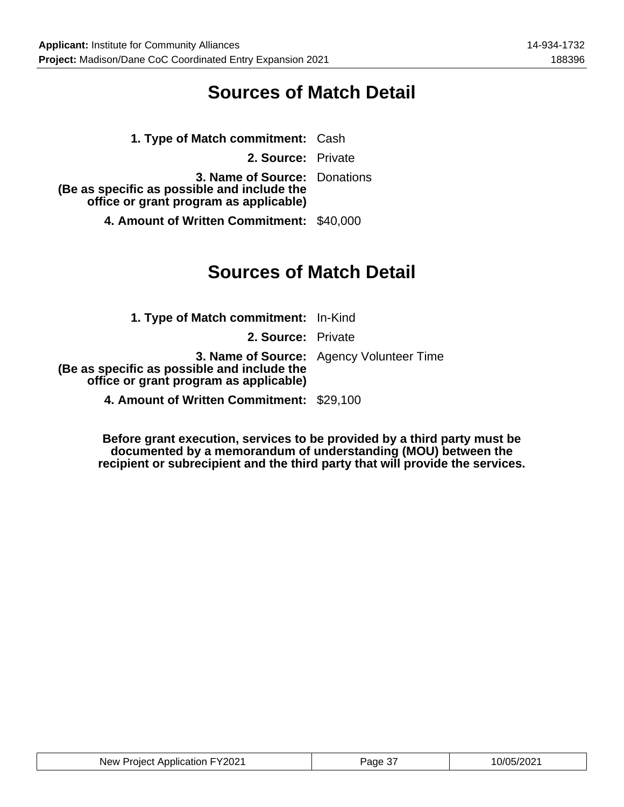### **Sources of Match Detail**

| 1. Type of Match commitment: Cash                                                                                            |  |
|------------------------------------------------------------------------------------------------------------------------------|--|
| 2. Source: Private                                                                                                           |  |
| <b>3. Name of Source: Donations</b><br>(Be as specific as possible and include the<br>office or grant program as applicable) |  |
| 4. Amount of Written Commitment: \$40,000                                                                                    |  |

### **Sources of Match Detail**

| 1. Type of Match commitment: In-Kind                                                  |                                                 |
|---------------------------------------------------------------------------------------|-------------------------------------------------|
| 2. Source: Private                                                                    |                                                 |
| (Be as specific as possible and include the<br>office or grant program as applicable) | <b>3. Name of Source:</b> Agency Volunteer Time |
| 4. Amount of Written Commitment: \$29,100                                             |                                                 |

**Before grant execution, services to be provided by a third party must be documented by a memorandum of understanding (MOU) between the recipient or subrecipient and the third party that will provide the services.**

| New Project Application FY2021 | Page 37 | 10/05/2021 |
|--------------------------------|---------|------------|
|--------------------------------|---------|------------|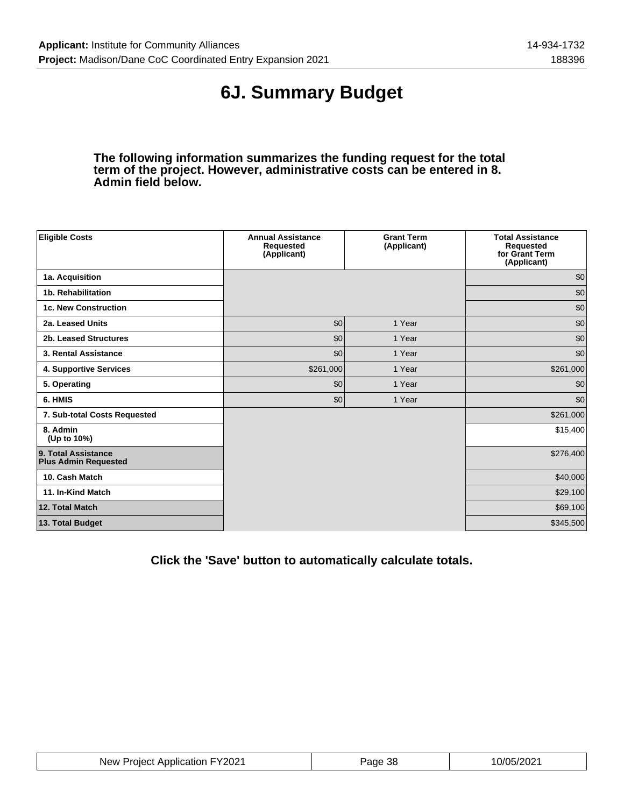### **6J. Summary Budget**

**The following information summarizes the funding request for the total term of the project. However, administrative costs can be entered in 8. Admin field below.**

| <b>Eligible Costs</b>                              | <b>Annual Assistance</b><br>Requested<br>(Applicant) | <b>Grant Term</b><br>(Applicant) | <b>Total Assistance</b><br>Requested<br>for Grant Term<br>(Applicant) |
|----------------------------------------------------|------------------------------------------------------|----------------------------------|-----------------------------------------------------------------------|
| 1a. Acquisition                                    |                                                      |                                  | \$0                                                                   |
| 1b. Rehabilitation                                 |                                                      |                                  | \$0                                                                   |
| <b>1c. New Construction</b>                        |                                                      |                                  | \$0                                                                   |
| 2a. Leased Units                                   | \$0                                                  | 1 Year                           | \$0                                                                   |
| 2b. Leased Structures                              | \$0                                                  | 1 Year                           | \$0                                                                   |
| 3. Rental Assistance                               | \$0                                                  | 1 Year                           | \$0                                                                   |
| 4. Supportive Services                             | \$261,000                                            | 1 Year                           | \$261,000                                                             |
| 5. Operating                                       | \$0                                                  | 1 Year                           | \$0                                                                   |
| 6. HMIS                                            | \$0                                                  | 1 Year                           | \$0                                                                   |
| 7. Sub-total Costs Requested                       |                                                      |                                  | \$261,000                                                             |
| 8. Admin<br>(Up to 10%)                            |                                                      |                                  | \$15,400                                                              |
| 9. Total Assistance<br><b>Plus Admin Requested</b> |                                                      |                                  | \$276,400                                                             |
| 10. Cash Match                                     |                                                      |                                  | \$40,000                                                              |
| 11. In-Kind Match                                  |                                                      |                                  | \$29,100                                                              |
| 12. Total Match                                    |                                                      |                                  | \$69,100                                                              |
| 13. Total Budget                                   |                                                      |                                  | \$345,500                                                             |

**Click the 'Save' button to automatically calculate totals.**

| New Project Application FY2021 | Page 38 | 10/05/2021 |
|--------------------------------|---------|------------|
|--------------------------------|---------|------------|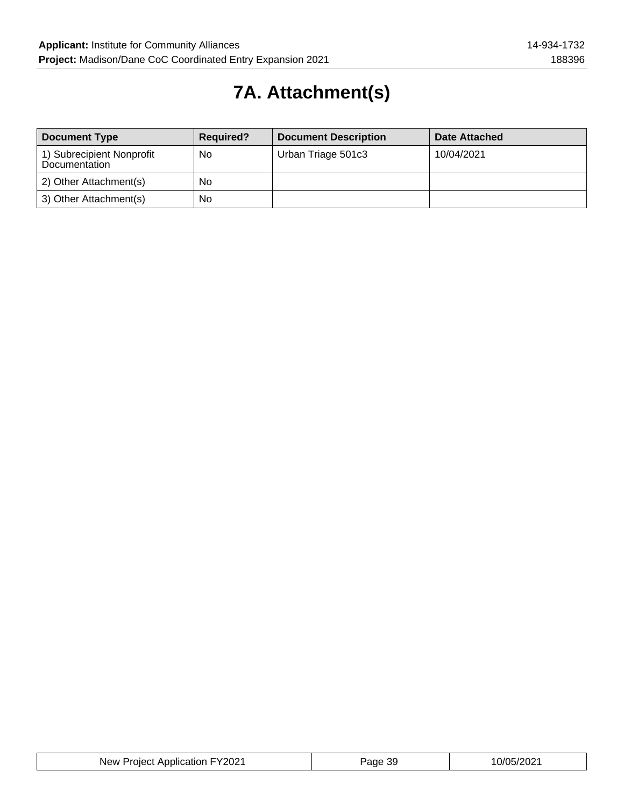# **7A. Attachment(s)**

| <b>Document Type</b>                       | <b>Required?</b> | <b>Document Description</b> | Date Attached |
|--------------------------------------------|------------------|-----------------------------|---------------|
| 1) Subrecipient Nonprofit<br>Documentation | No               | Urban Triage 501c3          | 10/04/2021    |
| 2) Other Attachment(s)                     | No               |                             |               |
| 3) Other Attachment(s)                     | No               |                             |               |

| New Project Application FY2021 | Page 39 | 10/05/2021 |
|--------------------------------|---------|------------|
|--------------------------------|---------|------------|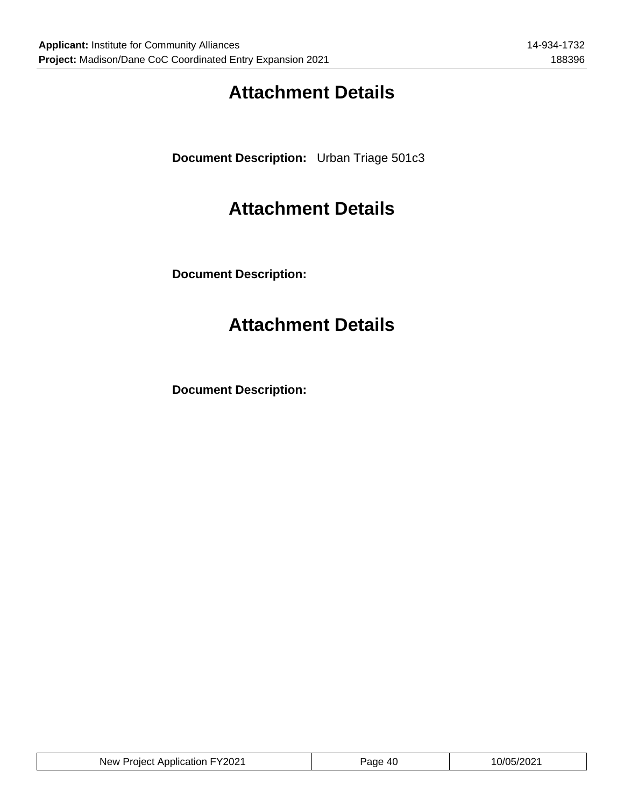### **Attachment Details**

**Document Description:** Urban Triage 501c3

### **Attachment Details**

**Document Description:**

### **Attachment Details**

**Document Description:**

| FY2021<br>Project,<br>New<br>: Application I | Page 40 | ,0/05/2021 |
|----------------------------------------------|---------|------------|
|                                              |         |            |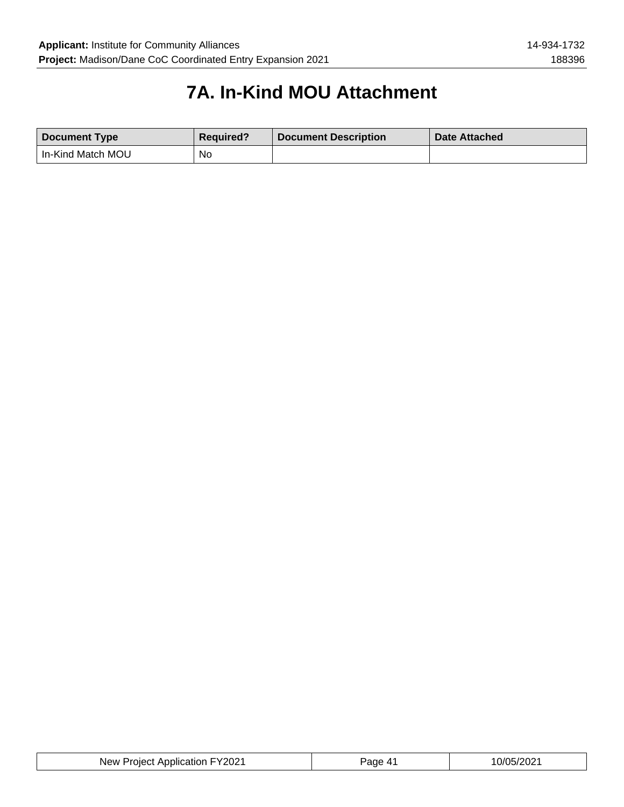### **7A. In-Kind MOU Attachment**

| <b>Document Type</b> | <b>Required?</b> | <b>Document Description</b> | <b>Date Attached</b> |
|----------------------|------------------|-----------------------------|----------------------|
| In-Kind Match MOU    | No               |                             |                      |

| New Project Application FY2021 | Page 41 | 10/05/2021 |
|--------------------------------|---------|------------|
|--------------------------------|---------|------------|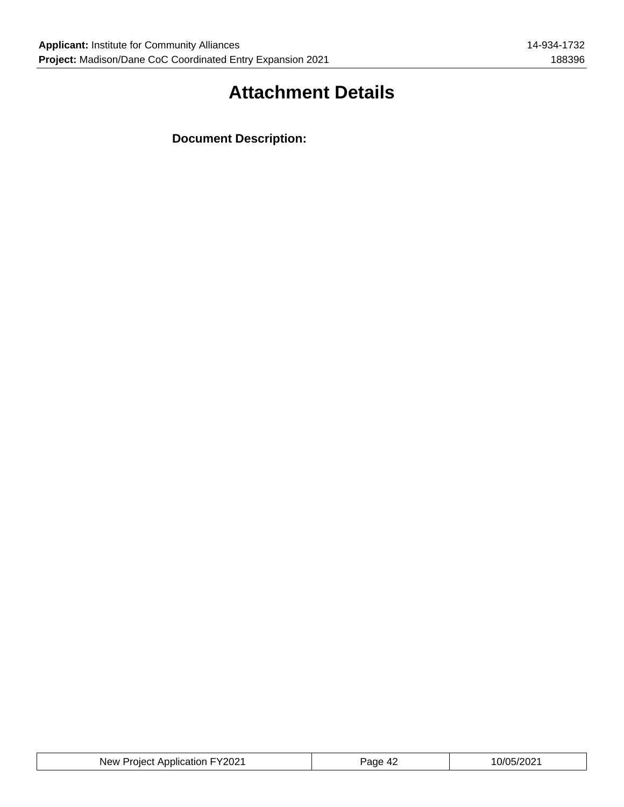### **Attachment Details**

**Document Description:**

| New Project Application FY2021 | aqe | 10/05/2021 |
|--------------------------------|-----|------------|
|--------------------------------|-----|------------|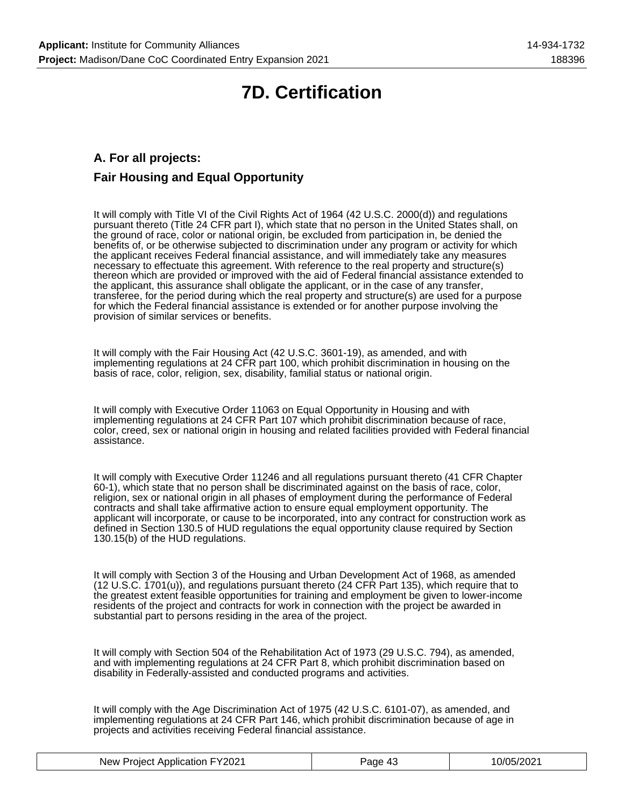### **7D. Certification**

### **A. For all projects: Fair Housing and Equal Opportunity**

It will comply with Title VI of the Civil Rights Act of 1964 (42 U.S.C. 2000(d)) and regulations pursuant thereto (Title 24 CFR part I), which state that no person in the United States shall, on the ground of race, color or national origin, be excluded from participation in, be denied the benefits of, or be otherwise subjected to discrimination under any program or activity for which the applicant receives Federal financial assistance, and will immediately take any measures necessary to effectuate this agreement. With reference to the real property and structure(s) thereon which are provided or improved with the aid of Federal financial assistance extended to the applicant, this assurance shall obligate the applicant, or in the case of any transfer, transferee, for the period during which the real property and structure(s) are used for a purpose for which the Federal financial assistance is extended or for another purpose involving the provision of similar services or benefits.

It will comply with the Fair Housing Act (42 U.S.C. 3601-19), as amended, and with implementing regulations at 24 CFR part 100, which prohibit discrimination in housing on the basis of race, color, religion, sex, disability, familial status or national origin.

It will comply with Executive Order 11063 on Equal Opportunity in Housing and with implementing regulations at 24 CFR Part 107 which prohibit discrimination because of race, color, creed, sex or national origin in housing and related facilities provided with Federal financial assistance.

It will comply with Executive Order 11246 and all regulations pursuant thereto (41 CFR Chapter 60-1), which state that no person shall be discriminated against on the basis of race, color, religion, sex or national origin in all phases of employment during the performance of Federal contracts and shall take affirmative action to ensure equal employment opportunity. The applicant will incorporate, or cause to be incorporated, into any contract for construction work as defined in Section 130.5 of HUD regulations the equal opportunity clause required by Section 130.15(b) of the HUD regulations.

It will comply with Section 3 of the Housing and Urban Development Act of 1968, as amended (12 U.S.C. 1701(u)), and regulations pursuant thereto (24 CFR Part 135), which require that to the greatest extent feasible opportunities for training and employment be given to lower-income residents of the project and contracts for work in connection with the project be awarded in substantial part to persons residing in the area of the project.

It will comply with Section 504 of the Rehabilitation Act of 1973 (29 U.S.C. 794), as amended, and with implementing regulations at 24 CFR Part 8, which prohibit discrimination based on disability in Federally-assisted and conducted programs and activities.

It will comply with the Age Discrimination Act of 1975 (42 U.S.C. 6101-07), as amended, and implementing regulations at 24 CFR Part 146, which prohibit discrimination because of age in projects and activities receiving Federal financial assistance.

| New Project Application FY2021 | Page 43 | 10/05/2021 |
|--------------------------------|---------|------------|
|--------------------------------|---------|------------|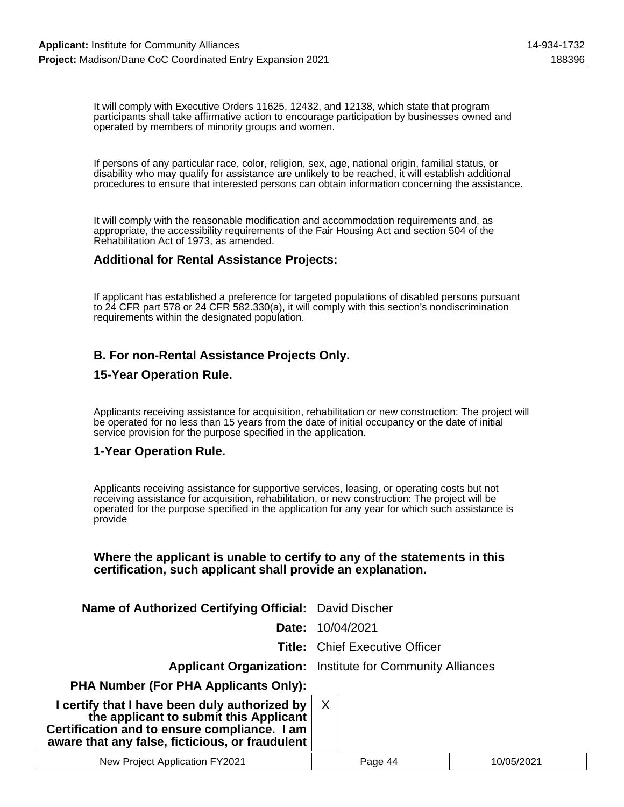It will comply with Executive Orders 11625, 12432, and 12138, which state that program participants shall take affirmative action to encourage participation by businesses owned and operated by members of minority groups and women.

If persons of any particular race, color, religion, sex, age, national origin, familial status, or disability who may qualify for assistance are unlikely to be reached, it will establish additional procedures to ensure that interested persons can obtain information concerning the assistance.

It will comply with the reasonable modification and accommodation requirements and, as appropriate, the accessibility requirements of the Fair Housing Act and section 504 of the Rehabilitation Act of 1973, as amended.

### **Additional for Rental Assistance Projects:**

If applicant has established a preference for targeted populations of disabled persons pursuant to 24 CFR part 578 or 24 CFR 582.330(a), it will comply with this section's nondiscrimination requirements within the designated population.

### **B. For non-Rental Assistance Projects Only.**

### **15-Year Operation Rule.**

Applicants receiving assistance for acquisition, rehabilitation or new construction: The project will be operated for no less than 15 years from the date of initial occupancy or the date of initial service provision for the purpose specified in the application.

### **1-Year Operation Rule.**

Applicants receiving assistance for supportive services, leasing, or operating costs but not receiving assistance for acquisition, rehabilitation, or new construction: The project will be operated for the purpose specified in the application for any year for which such assistance is provide

#### **Where the applicant is unable to certify to any of the statements in this certification, such applicant shall provide an explanation.**

**Name of Authorized Certifying Official:** David Discher

**Date:** 10/04/2021

**Title:** Chief Executive Officer

**Applicant Organization:** Institute for Community Alliances

**PHA Number (For PHA Applicants Only):**

**I certify that I have been duly authorized by the applicant to submit this Applicant Certification and to ensure compliance. I am aware that any false, ficticious, or fraudulent**

| New Project Application FY2021 | Page 44 | 10/05/2021 |
|--------------------------------|---------|------------|
|--------------------------------|---------|------------|

X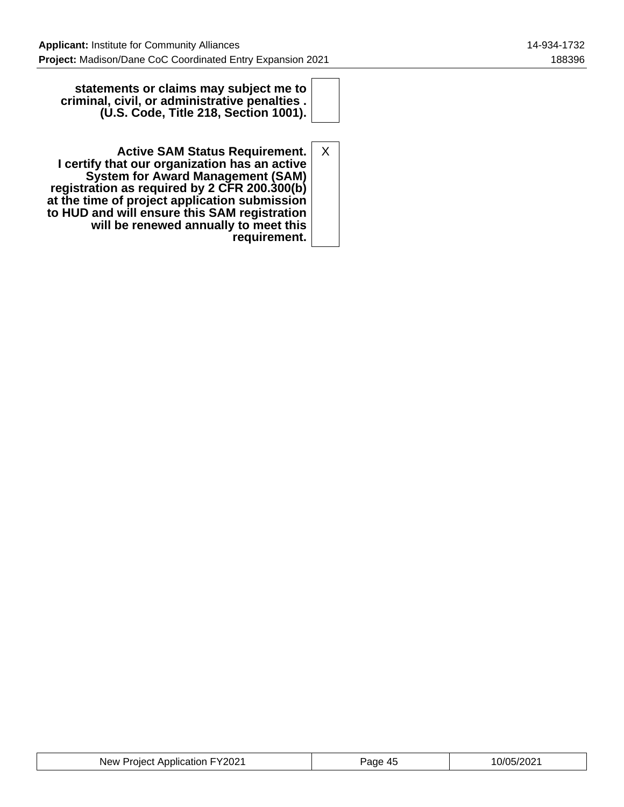**statements or claims may subject me to criminal, civil, or administrative penalties . (U.S. Code, Title 218, Section 1001).**

**Active SAM Status Requirement. I certify that our organization has an active System for Award Management (SAM) registration as required by 2 CFR 200.300(b) at the time of project application submission to HUD and will ensure this SAM registration will be renewed annually to meet this requirement.** X

| New Project Application FY2021 | Paαe<br>-4t | 10/05/2021 |
|--------------------------------|-------------|------------|
|--------------------------------|-------------|------------|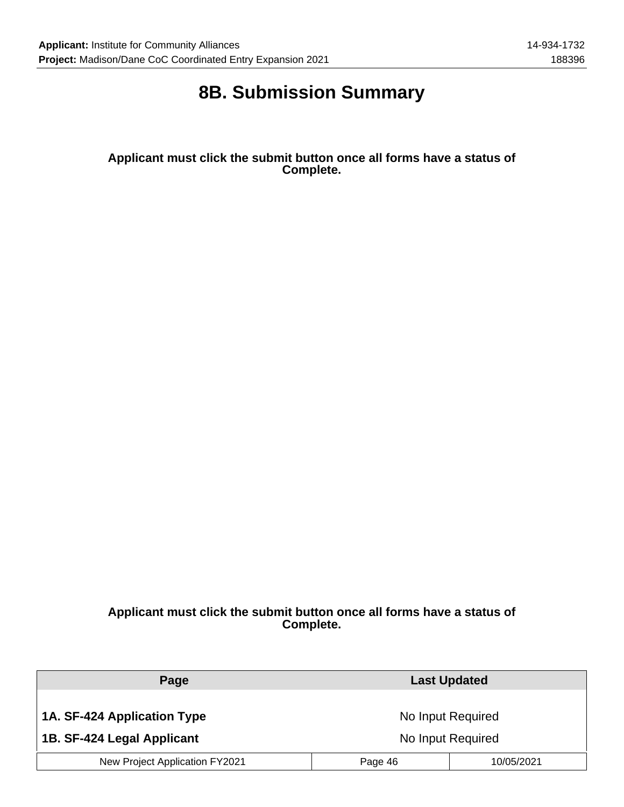### **8B. Submission Summary**

**Applicant must click the submit button once all forms have a status of Complete.**

**Applicant must click the submit button once all forms have a status of Complete.**

| Page                           | <b>Last Updated</b> |            |
|--------------------------------|---------------------|------------|
| 1A. SF-424 Application Type    | No Input Required   |            |
| 1B. SF-424 Legal Applicant     | No Input Required   |            |
| New Project Application FY2021 | Page 46             | 10/05/2021 |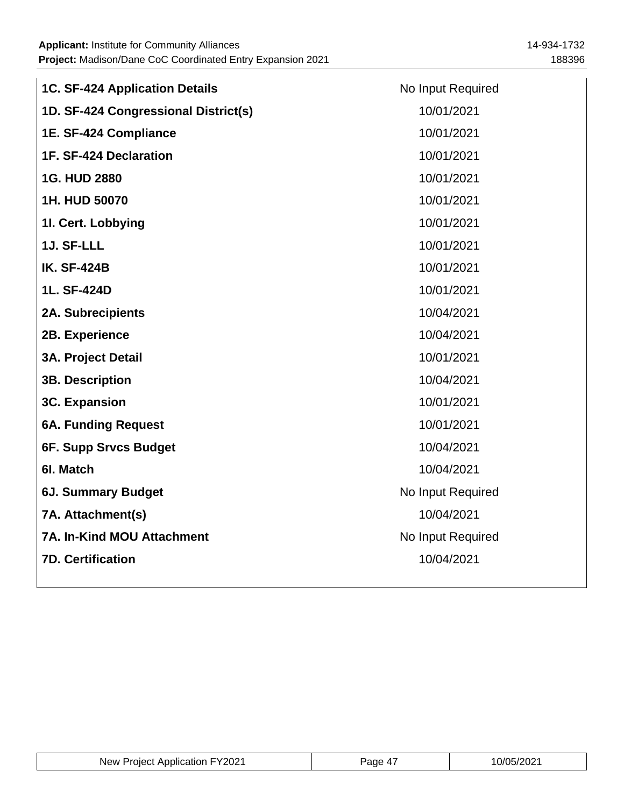| <b>1C. SF-424 Application Details</b> | No Input Required |  |
|---------------------------------------|-------------------|--|
| 1D. SF-424 Congressional District(s)  | 10/01/2021        |  |
| 1E. SF-424 Compliance                 | 10/01/2021        |  |
| 1F. SF-424 Declaration                | 10/01/2021        |  |
| 1G. HUD 2880                          | 10/01/2021        |  |
| 1H. HUD 50070                         | 10/01/2021        |  |
| 11. Cert. Lobbying                    | 10/01/2021        |  |
| 1J. SF-LLL                            | 10/01/2021        |  |
| <b>IK. SF-424B</b>                    | 10/01/2021        |  |
| 1L. SF-424D                           | 10/01/2021        |  |
| <b>2A. Subrecipients</b>              | 10/04/2021        |  |
| 2B. Experience                        | 10/04/2021        |  |
| <b>3A. Project Detail</b>             | 10/01/2021        |  |
| <b>3B. Description</b>                | 10/04/2021        |  |
| 3C. Expansion                         | 10/01/2021        |  |
| <b>6A. Funding Request</b>            | 10/01/2021        |  |
| 6F. Supp Srvcs Budget                 | 10/04/2021        |  |
| 6I. Match                             | 10/04/2021        |  |
| 6J. Summary Budget                    | No Input Required |  |
| 7A. Attachment(s)                     | 10/04/2021        |  |
| <b>7A. In-Kind MOU Attachment</b>     | No Input Required |  |
| <b>7D. Certification</b>              | 10/04/2021        |  |
|                                       |                   |  |

| New Project Application FY2021 | Page<br>$\Delta$ | $\Delta$<br>I U/UJ/ZUZ |
|--------------------------------|------------------|------------------------|
|--------------------------------|------------------|------------------------|